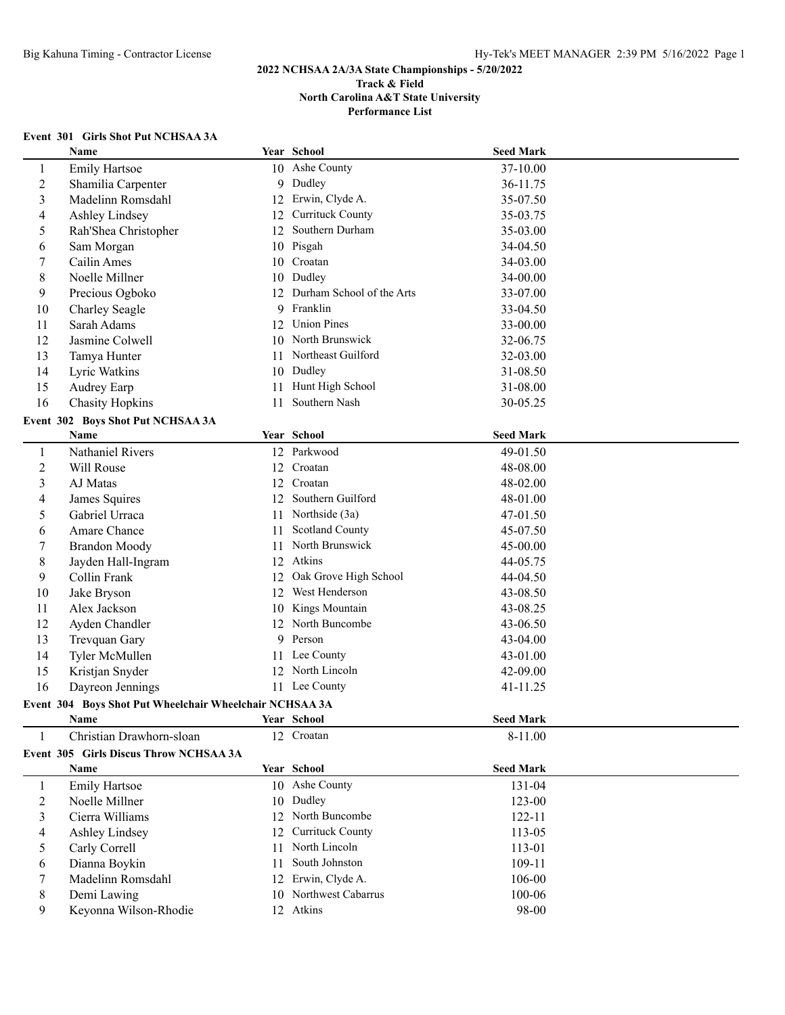### **Event 301 Girls Shot Put NCHSAA 3A**

|                          | Name                                                    |    | Year School                  | <b>Seed Mark</b> |  |
|--------------------------|---------------------------------------------------------|----|------------------------------|------------------|--|
| $\mathbf{1}$             | <b>Emily Hartsoe</b>                                    |    | 10 Ashe County               | 37-10.00         |  |
| $\sqrt{2}$               | Shamilia Carpenter                                      |    | 9 Dudley                     | 36-11.75         |  |
| 3                        | Madelinn Romsdahl                                       |    | 12 Erwin, Clyde A.           | 35-07.50         |  |
| $\overline{4}$           | Ashley Lindsey                                          | 12 | <b>Currituck County</b>      | 35-03.75         |  |
| 5                        | Rah'Shea Christopher                                    | 12 | Southern Durham              | 35-03.00         |  |
| 6                        | Sam Morgan                                              |    | 10 Pisgah                    | 34-04.50         |  |
| $\tau$                   | Cailin Ames                                             |    | 10 Croatan                   | 34-03.00         |  |
| $\,8\,$                  | Noelle Millner                                          |    | 10 Dudley                    | 34-00.00         |  |
| 9                        | Precious Ogboko                                         |    | 12 Durham School of the Arts | 33-07.00         |  |
| 10                       | Charley Seagle                                          | 9  | Franklin                     | 33-04.50         |  |
| 11                       | Sarah Adams                                             | 12 | <b>Union Pines</b>           | 33-00.00         |  |
| 12                       | Jasmine Colwell                                         | 10 | North Brunswick              | 32-06.75         |  |
| 13                       | Tamya Hunter                                            | 11 | Northeast Guilford           | 32-03.00         |  |
| 14                       | Lyric Watkins                                           | 10 | Dudley                       | 31-08.50         |  |
| 15                       | Audrey Earp                                             | 11 | Hunt High School             | 31-08.00         |  |
| 16                       | <b>Chasity Hopkins</b>                                  | 11 | Southern Nash                | 30-05.25         |  |
|                          | Event 302 Boys Shot Put NCHSAA 3A                       |    |                              |                  |  |
|                          | Name                                                    |    | Year School                  | <b>Seed Mark</b> |  |
| $\mathbf{1}$             | Nathaniel Rivers                                        |    | 12 Parkwood                  | 49-01.50         |  |
| $\overline{2}$           | Will Rouse                                              |    | 12 Croatan                   | 48-08.00         |  |
| 3                        | AJ Matas                                                |    | 12 Croatan                   | 48-02.00         |  |
| 4                        | James Squires                                           |    | 12 Southern Guilford         | 48-01.00         |  |
| 5                        | Gabriel Urraca                                          |    | 11 Northside (3a)            | 47-01.50         |  |
| 6                        | Amare Chance                                            | 11 | Scotland County              | 45-07.50         |  |
| 7                        | <b>Brandon Moody</b>                                    | 11 | North Brunswick              | 45-00.00         |  |
| $8\,$                    | Jayden Hall-Ingram                                      |    | 12 Atkins                    | 44-05.75         |  |
| 9                        | Collin Frank                                            |    | 12 Oak Grove High School     | 44-04.50         |  |
| 10                       | Jake Bryson                                             |    | 12 West Henderson            | 43-08.50         |  |
| 11                       | Alex Jackson                                            |    | 10 Kings Mountain            | 43-08.25         |  |
| 12                       | Ayden Chandler                                          |    | 12 North Buncombe            | 43-06.50         |  |
| 13                       | Trevquan Gary                                           | 9  | Person                       | 43-04.00         |  |
| 14                       | Tyler McMullen                                          | 11 | Lee County                   | 43-01.00         |  |
| 15                       | Kristjan Snyder                                         |    | 12 North Lincoln             | 42-09.00         |  |
| 16                       | Dayreon Jennings                                        |    | 11 Lee County                | 41-11.25         |  |
|                          | Event 304 Boys Shot Put Wheelchair Wheelchair NCHSAA 3A |    |                              |                  |  |
|                          | Name                                                    |    | Year School                  | <b>Seed Mark</b> |  |
| 1                        | Christian Drawhorn-sloan                                |    | 12 Croatan                   | 8-11.00          |  |
|                          | Event 305 Girls Discus Throw NCHSAA 3A                  |    |                              |                  |  |
|                          | Name                                                    |    | Year School                  | <b>Seed Mark</b> |  |
| $\mathbf{1}$             | <b>Emily Hartsoe</b>                                    |    | 10 Ashe County               | 131-04           |  |
| $\sqrt{2}$               | Noelle Millner                                          | 10 | Dudley                       | 123-00           |  |
| $\mathfrak{Z}$           | Cierra Williams                                         | 12 | North Buncombe               | 122-11           |  |
| $\overline{\mathcal{A}}$ | Ashley Lindsey                                          | 12 | Currituck County             | 113-05           |  |
| 5                        | Carly Correll                                           | 11 | North Lincoln                | 113-01           |  |
| 6                        | Dianna Boykin                                           | 11 | South Johnston               | 109-11           |  |
| 7                        | Madelinn Romsdahl                                       | 12 | Erwin, Clyde A.              | 106-00           |  |
| 8                        | Demi Lawing                                             | 10 | Northwest Cabarrus           | 100-06           |  |
| 9                        | Keyonna Wilson-Rhodie                                   |    | 12 Atkins                    | 98-00            |  |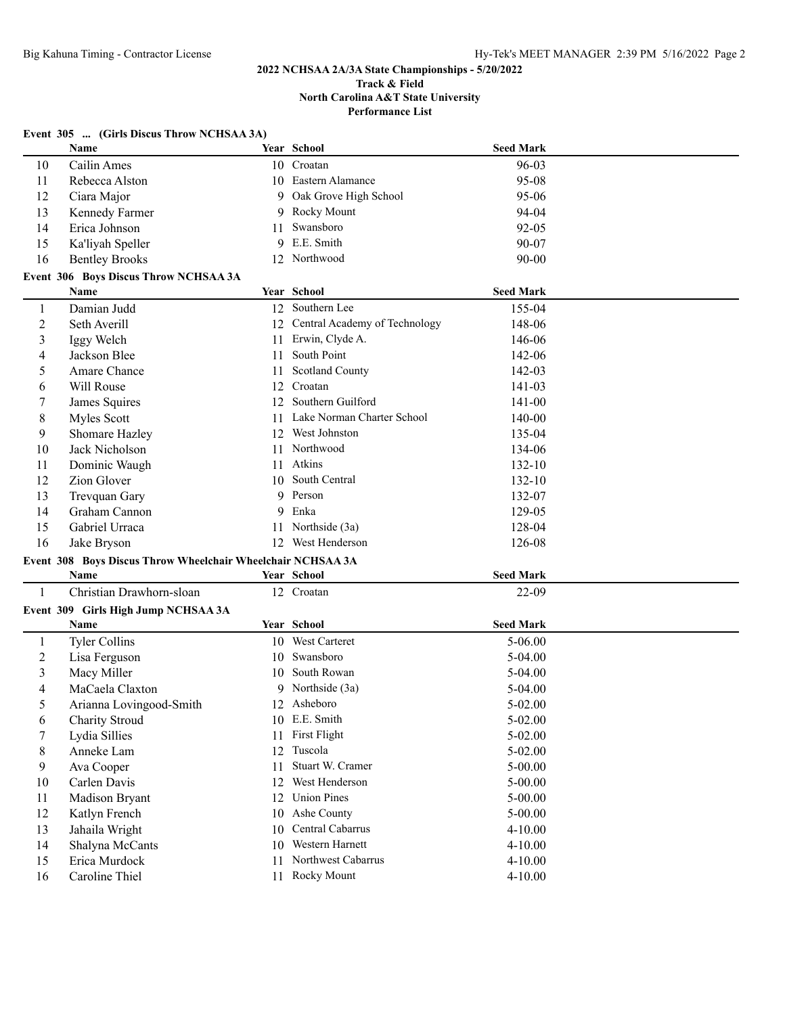**North Carolina A&T State University**

|                | Event 305  (Girls Discus Throw NCHSAA 3A)                   |    |                                  |                  |  |
|----------------|-------------------------------------------------------------|----|----------------------------------|------------------|--|
|                | Name                                                        |    | Year School                      | <b>Seed Mark</b> |  |
| 10             | Cailin Ames                                                 |    | 10 Croatan                       | 96-03            |  |
| 11             | Rebecca Alston                                              | 10 | Eastern Alamance                 | 95-08            |  |
| 12             | Ciara Major                                                 | 9  | Oak Grove High School            | 95-06            |  |
| 13             | Kennedy Farmer                                              | 9  | Rocky Mount                      | 94-04            |  |
| 14             | Erica Johnson                                               | 11 | Swansboro                        | $92 - 05$        |  |
| 15             | Ka'liyah Speller                                            | 9  | E.E. Smith                       | 90-07            |  |
| 16             | <b>Bentley Brooks</b>                                       |    | 12 Northwood                     | $90 - 00$        |  |
|                | Event 306 Boys Discus Throw NCHSAA 3A                       |    |                                  |                  |  |
|                | Name                                                        |    | Year School                      | <b>Seed Mark</b> |  |
| 1              | Damian Judd                                                 |    | 12 Southern Lee                  | 155-04           |  |
| $\overline{c}$ | Seth Averill                                                |    | 12 Central Academy of Technology | 148-06           |  |
| 3              | Iggy Welch                                                  | 11 | Erwin, Clyde A.                  | 146-06           |  |
| 4              | Jackson Blee                                                | 11 | South Point                      | 142-06           |  |
| 5              | Amare Chance                                                | 11 | Scotland County                  | 142-03           |  |
| 6              | Will Rouse                                                  |    | 12 Croatan                       | $141 - 03$       |  |
| 7              | James Squires                                               |    | 12 Southern Guilford             | 141-00           |  |
| 8              | Myles Scott                                                 | 11 | Lake Norman Charter School       | 140-00           |  |
| 9              | Shomare Hazley                                              |    | 12 West Johnston                 | 135-04           |  |
| 10             | Jack Nicholson                                              | 11 | Northwood                        | 134-06           |  |
| 11             | Dominic Waugh                                               | 11 | Atkins                           | 132-10           |  |
| 12             | Zion Glover                                                 | 10 | South Central                    | 132-10           |  |
| 13             | Trevquan Gary                                               | 9  | Person                           | 132-07           |  |
| 14             | Graham Cannon                                               | 9  | Enka                             | 129-05           |  |
| 15             | Gabriel Urraca                                              | 11 | Northside (3a)                   | 128-04           |  |
| 16             | Jake Bryson                                                 |    | 12 West Henderson                | 126-08           |  |
|                | Event 308 Boys Discus Throw Wheelchair Wheelchair NCHSAA 3A |    |                                  |                  |  |
|                | <b>Name</b>                                                 |    | Year School                      | <b>Seed Mark</b> |  |
| 1              | Christian Drawhorn-sloan                                    |    | 12 Croatan                       | $22 - 09$        |  |
|                | Event 309 Girls High Jump NCHSAA 3A                         |    |                                  |                  |  |
|                | Name                                                        |    | Year School                      | <b>Seed Mark</b> |  |
| 1              | <b>Tyler Collins</b>                                        |    | 10 West Carteret                 | 5-06.00          |  |
| 2              | Lisa Ferguson                                               | 10 | Swansboro                        | 5-04.00          |  |
| 3              | Macy Miller                                                 | 10 | South Rowan                      | $5-04.00$        |  |
| 4              | MaCaela Claxton                                             |    | 9 Northside (3a)                 | 5-04.00          |  |
| 5              | Arianna Lovingood-Smith                                     |    | 12 Asheboro                      | 5-02.00          |  |
| 6              | Charity Stroud                                              |    | 10 E.E. Smith                    | 5-02.00          |  |
| 7              | Lydia Sillies                                               | 11 | First Flight                     | 5-02.00          |  |
| 8              | Anneke Lam                                                  | 12 | Tuscola                          | $5 - 02.00$      |  |
| 9              | Ava Cooper                                                  | 11 | Stuart W. Cramer                 | $5 - 00.00$      |  |
| 10             | Carlen Davis                                                | 12 | West Henderson                   | $5 - 00.00$      |  |
| 11             | Madison Bryant                                              | 12 | <b>Union Pines</b>               | $5 - 00.00$      |  |
| 12             | Katlyn French                                               |    | 10 Ashe County                   | $5 - 00.00$      |  |
| 13             | Jahaila Wright                                              | 10 | Central Cabarrus                 | $4 - 10.00$      |  |
| 14             | Shalyna McCants                                             | 10 | Western Harnett                  | $4 - 10.00$      |  |
| 15             | Erica Murdock                                               | 11 | Northwest Cabarrus               | $4 - 10.00$      |  |
| 16             | Caroline Thiel                                              |    | 11 Rocky Mount                   | $4 - 10.00$      |  |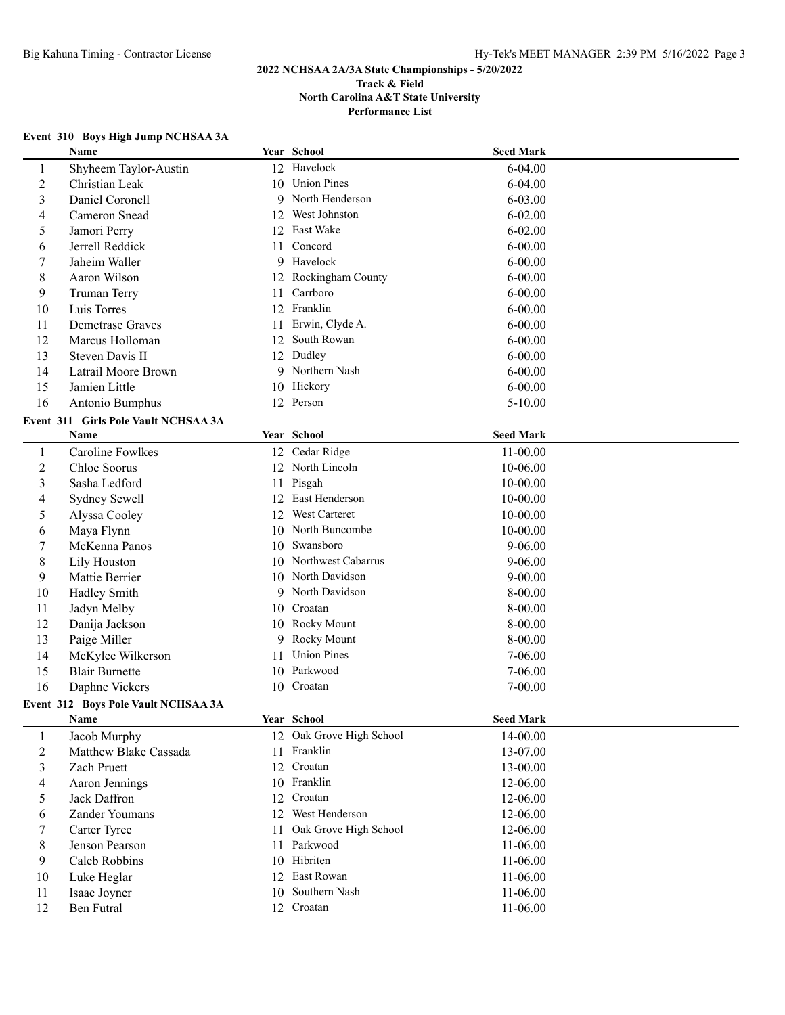### **Event 310 Boys High Jump NCHSAA 3A**

|                | Name                                 |    | Year School              | <b>Seed Mark</b> |  |
|----------------|--------------------------------------|----|--------------------------|------------------|--|
| $\mathbf{1}$   | Shyheem Taylor-Austin                |    | 12 Havelock              | $6 - 04.00$      |  |
| $\overline{2}$ | Christian Leak                       |    | 10 Union Pines           | $6 - 04.00$      |  |
| 3              | Daniel Coronell                      | 9  | North Henderson          | 6-03.00          |  |
| 4              | Cameron Snead                        | 12 | West Johnston            | $6 - 02.00$      |  |
| 5              | Jamori Perry                         | 12 | East Wake                | $6 - 02.00$      |  |
| 6              | Jerrell Reddick                      | 11 | Concord                  | $6 - 00.00$      |  |
| 7              | Jaheim Waller                        | 9  | Havelock                 | $6 - 00.00$      |  |
| 8              | Aaron Wilson                         | 12 | Rockingham County        | $6 - 00.00$      |  |
| 9              | <b>Truman Terry</b>                  | 11 | Carrboro                 | $6 - 00.00$      |  |
| 10             | Luis Torres                          | 12 | Franklin                 | $6 - 00.00$      |  |
| 11             | Demetrase Graves                     | 11 | Erwin, Clyde A.          | $6 - 00.00$      |  |
| 12             | Marcus Holloman                      | 12 | South Rowan              | $6 - 00.00$      |  |
| 13             | Steven Davis II                      | 12 | Dudley                   | $6 - 00.00$      |  |
| 14             | Latrail Moore Brown                  | 9  | Northern Nash            | $6 - 00.00$      |  |
| 15             | Jamien Little                        |    | 10 Hickory               | $6 - 00.00$      |  |
| 16             | Antonio Bumphus                      |    | 12 Person                | $5-10.00$        |  |
|                | Event 311 Girls Pole Vault NCHSAA 3A |    |                          |                  |  |
|                | Name                                 |    | Year School              | <b>Seed Mark</b> |  |
| $\mathbf{1}$   | <b>Caroline Fowlkes</b>              |    | 12 Cedar Ridge           | 11-00.00         |  |
| $\overline{c}$ | Chloe Soorus                         |    | 12 North Lincoln         | 10-06.00         |  |
| $\mathfrak{Z}$ | Sasha Ledford                        |    | 11 Pisgah                | 10-00.00         |  |
| 4              | Sydney Sewell                        |    | 12 East Henderson        | 10-00.00         |  |
| 5              | Alyssa Cooley                        |    | 12 West Carteret         | 10-00.00         |  |
| 6              | Maya Flynn                           |    | 10 North Buncombe        | 10-00.00         |  |
| 7              | McKenna Panos                        |    | 10 Swansboro             | $9 - 06.00$      |  |
| 8              | Lily Houston                         |    | 10 Northwest Cabarrus    | 9-06.00          |  |
| 9              | Mattie Berrier                       |    | 10 North Davidson        | $9 - 00.00$      |  |
| 10             | Hadley Smith                         |    | 9 North Davidson         | 8-00.00          |  |
| 11             | Jadyn Melby                          | 10 | Croatan                  | 8-00.00          |  |
| 12             | Danija Jackson                       | 10 | Rocky Mount              | 8-00.00          |  |
| 13             | Paige Miller                         | 9  | Rocky Mount              | 8-00.00          |  |
| 14             | McKylee Wilkerson                    | 11 | <b>Union Pines</b>       | 7-06.00          |  |
| 15             | <b>Blair Burnette</b>                | 10 | Parkwood                 | 7-06.00          |  |
| 16             | Daphne Vickers                       |    | 10 Croatan               | $7 - 00.00$      |  |
|                | Event 312 Boys Pole Vault NCHSAA 3A  |    |                          |                  |  |
|                | <b>Name</b>                          |    | Year School              | <b>Seed Mark</b> |  |
| $\mathbf{1}$   | Jacob Murphy                         |    | 12 Oak Grove High School | 14-00.00         |  |
| $\overline{2}$ | Matthew Blake Cassada                |    | 11 Franklin              | 13-07.00         |  |
| 3              | Zach Pruett                          |    | 12 Croatan               | 13-00.00         |  |
| 4              | Aaron Jennings                       |    | 10 Franklin              | 12-06.00         |  |
| 5              | Jack Daffron                         |    | 12 Croatan               | 12-06.00         |  |
| 6              | Zander Youmans                       |    | 12 West Henderson        | 12-06.00         |  |
| 7              | Carter Tyree                         | 11 | Oak Grove High School    | 12-06.00         |  |
| 8              | Jenson Pearson                       | 11 | Parkwood                 | 11-06.00         |  |
| 9              | Caleb Robbins                        |    | 10 Hibriten              | 11-06.00         |  |
| 10             | Luke Heglar                          |    | 12 East Rowan            | 11-06.00         |  |
|                |                                      |    | 10 Southern Nash         | 11-06.00         |  |
| 11<br>12       | Isaac Joyner<br>Ben Futral           |    | 12 Croatan               |                  |  |
|                |                                      |    |                          | 11-06.00         |  |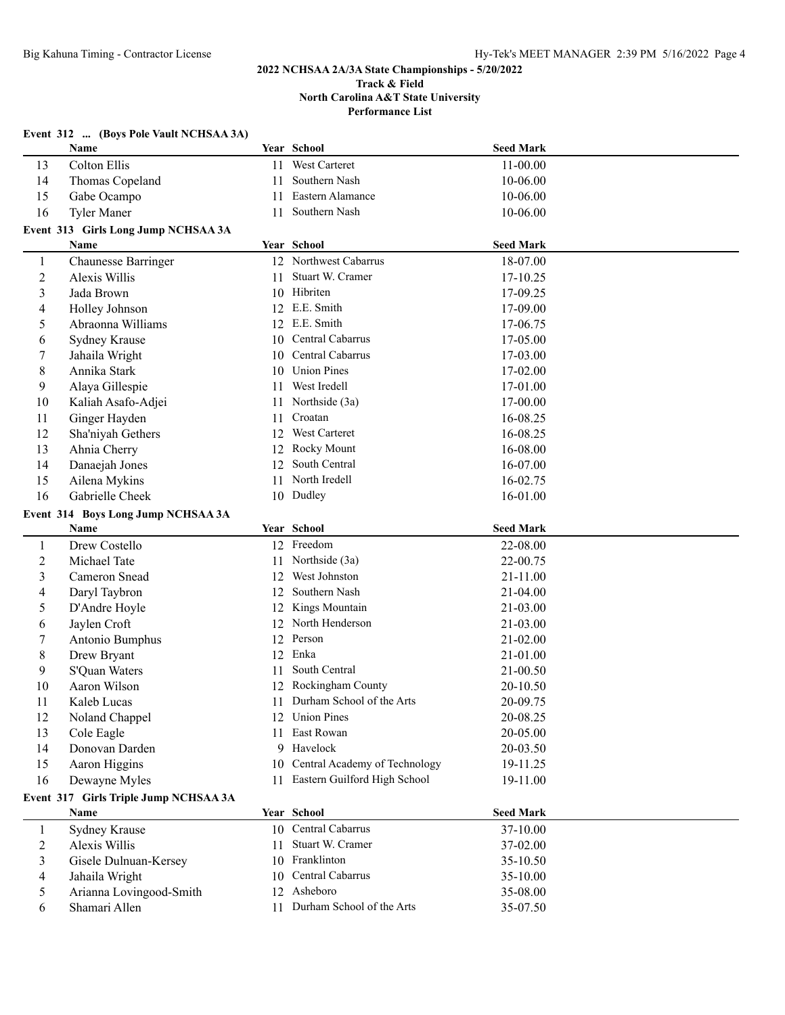| Year School<br>Name<br>Colton Ellis<br>13<br><b>West Carteret</b><br>11-00.00<br>11<br>Southern Nash<br>14<br>Thomas Copeland<br>10-06.00<br>11<br>Eastern Alamance<br>15<br>Gabe Ocampo<br>10-06.00<br>11<br>16<br>Southern Nash<br><b>Tyler Maner</b><br>11<br>10-06.00<br>Event 313 Girls Long Jump NCHSAA 3A<br>Year School<br>Name<br><b>Seed Mark</b><br>12 Northwest Cabarrus<br>Chaunesse Barringer<br>18-07.00<br>$\mathbf{1}$<br>Stuart W. Cramer<br>2<br><b>Alexis Willis</b><br>17-10.25<br>11<br>3<br>Hibriten<br>17-09.25<br>Jada Brown<br>10<br>E.E. Smith<br>4<br>Holley Johnson<br>17-09.00<br>12<br>12 E.E. Smith<br>5<br>Abraonna Williams<br>17-06.75<br>Central Cabarrus<br>6<br>Sydney Krause<br>17-05.00<br>10<br>Central Cabarrus<br>7<br>17-03.00<br>Jahaila Wright<br>10<br>8<br><b>Union Pines</b><br>Annika Stark<br>17-02.00<br>10<br>West Iredell<br>9<br>Alaya Gillespie<br>17-01.00<br>11<br>Kaliah Asafo-Adjei<br>Northside (3a)<br>17-00.00<br>10<br>11<br>Croatan<br>Ginger Hayden<br>16-08.25<br>11<br>11<br>12 West Carteret<br>12<br>16-08.25<br>Sha'niyah Gethers<br>Rocky Mount<br>13<br>Ahnia Cherry<br>16-08.00<br>12<br>South Central<br>14<br>Danaejah Jones<br>16-07.00<br>12<br>North Iredell<br>15<br>Ailena Mykins<br>16-02.75<br>11<br>10 Dudley<br>16<br>Gabrielle Cheek<br>16-01.00<br>Event 314 Boys Long Jump NCHSAA 3A<br>Year School<br><b>Seed Mark</b><br>Name<br>Drew Costello<br>12 Freedom<br>22-08.00<br>$\mathbf{1}$<br>Northside (3a)<br>2<br>Michael Tate<br>11<br>22-00.75<br>West Johnston<br>3<br>Cameron Snead<br>12<br>21-11.00<br>Southern Nash<br>Daryl Taybron<br>12<br>4<br>21-04.00<br>Kings Mountain<br>5<br>D'Andre Hoyle<br>12<br>21-03.00<br>North Henderson<br>Jaylen Croft<br>6<br>12<br>21-03.00<br>Person<br>7<br>Antonio Bumphus<br>12<br>21-02.00<br>Enka<br>8<br>Drew Bryant<br>12<br>21-01.00<br>9<br>South Central<br>S'Quan Waters<br>21-00.50<br>11<br>10<br>Aaron Wilson<br>12 Rockingham County<br>20-10.50<br>11 Durham School of the Arts<br>11<br>Kaleb Lucas<br>20-09.75<br>12 Union Pines<br>12<br>Noland Chappel<br>20-08.25<br>East Rowan<br>20-05.00<br>13<br>Cole Eagle<br>11<br>Donovan Darden<br>9 Havelock<br>14<br>20-03.50<br>Central Academy of Technology<br>15<br>Aaron Higgins<br>19-11.25<br>10<br>Eastern Guilford High School<br>16<br>Dewayne Myles<br>19-11.00<br>11<br>Event 317 Girls Triple Jump NCHSAA 3A<br>Year School<br><b>Seed Mark</b><br>Name<br>10 Central Cabarrus<br>Sydney Krause<br>37-10.00<br>$\mathbf{1}$<br>2<br>Alexis Willis<br>Stuart W. Cramer<br>37-02.00<br>11<br>10 Franklinton<br>3<br>Gisele Dulnuan-Kersey<br>35-10.50<br>Central Cabarrus<br>4<br>Jahaila Wright<br>35-10.00<br>10<br>Arianna Lovingood-Smith<br>Asheboro<br>5<br>12<br>35-08.00<br>Durham School of the Arts<br>Shamari Allen<br>6<br>35-07.50<br>11 | Event 312  (Boys Pole Vault NCHSAA 3A) |  |                  |  |
|------------------------------------------------------------------------------------------------------------------------------------------------------------------------------------------------------------------------------------------------------------------------------------------------------------------------------------------------------------------------------------------------------------------------------------------------------------------------------------------------------------------------------------------------------------------------------------------------------------------------------------------------------------------------------------------------------------------------------------------------------------------------------------------------------------------------------------------------------------------------------------------------------------------------------------------------------------------------------------------------------------------------------------------------------------------------------------------------------------------------------------------------------------------------------------------------------------------------------------------------------------------------------------------------------------------------------------------------------------------------------------------------------------------------------------------------------------------------------------------------------------------------------------------------------------------------------------------------------------------------------------------------------------------------------------------------------------------------------------------------------------------------------------------------------------------------------------------------------------------------------------------------------------------------------------------------------------------------------------------------------------------------------------------------------------------------------------------------------------------------------------------------------------------------------------------------------------------------------------------------------------------------------------------------------------------------------------------------------------------------------------------------------------------------------------------------------------------------------------------------------------------------------------------------------------------------------------------------------------------------------------------------------------------------------------------------------------------------------------------------------------------------------------------------------------------------------------------------------------------------|----------------------------------------|--|------------------|--|
|                                                                                                                                                                                                                                                                                                                                                                                                                                                                                                                                                                                                                                                                                                                                                                                                                                                                                                                                                                                                                                                                                                                                                                                                                                                                                                                                                                                                                                                                                                                                                                                                                                                                                                                                                                                                                                                                                                                                                                                                                                                                                                                                                                                                                                                                                                                                                                                                                                                                                                                                                                                                                                                                                                                                                                                                                                                                        |                                        |  | <b>Seed Mark</b> |  |
|                                                                                                                                                                                                                                                                                                                                                                                                                                                                                                                                                                                                                                                                                                                                                                                                                                                                                                                                                                                                                                                                                                                                                                                                                                                                                                                                                                                                                                                                                                                                                                                                                                                                                                                                                                                                                                                                                                                                                                                                                                                                                                                                                                                                                                                                                                                                                                                                                                                                                                                                                                                                                                                                                                                                                                                                                                                                        |                                        |  |                  |  |
|                                                                                                                                                                                                                                                                                                                                                                                                                                                                                                                                                                                                                                                                                                                                                                                                                                                                                                                                                                                                                                                                                                                                                                                                                                                                                                                                                                                                                                                                                                                                                                                                                                                                                                                                                                                                                                                                                                                                                                                                                                                                                                                                                                                                                                                                                                                                                                                                                                                                                                                                                                                                                                                                                                                                                                                                                                                                        |                                        |  |                  |  |
|                                                                                                                                                                                                                                                                                                                                                                                                                                                                                                                                                                                                                                                                                                                                                                                                                                                                                                                                                                                                                                                                                                                                                                                                                                                                                                                                                                                                                                                                                                                                                                                                                                                                                                                                                                                                                                                                                                                                                                                                                                                                                                                                                                                                                                                                                                                                                                                                                                                                                                                                                                                                                                                                                                                                                                                                                                                                        |                                        |  |                  |  |
|                                                                                                                                                                                                                                                                                                                                                                                                                                                                                                                                                                                                                                                                                                                                                                                                                                                                                                                                                                                                                                                                                                                                                                                                                                                                                                                                                                                                                                                                                                                                                                                                                                                                                                                                                                                                                                                                                                                                                                                                                                                                                                                                                                                                                                                                                                                                                                                                                                                                                                                                                                                                                                                                                                                                                                                                                                                                        |                                        |  |                  |  |
|                                                                                                                                                                                                                                                                                                                                                                                                                                                                                                                                                                                                                                                                                                                                                                                                                                                                                                                                                                                                                                                                                                                                                                                                                                                                                                                                                                                                                                                                                                                                                                                                                                                                                                                                                                                                                                                                                                                                                                                                                                                                                                                                                                                                                                                                                                                                                                                                                                                                                                                                                                                                                                                                                                                                                                                                                                                                        |                                        |  |                  |  |
|                                                                                                                                                                                                                                                                                                                                                                                                                                                                                                                                                                                                                                                                                                                                                                                                                                                                                                                                                                                                                                                                                                                                                                                                                                                                                                                                                                                                                                                                                                                                                                                                                                                                                                                                                                                                                                                                                                                                                                                                                                                                                                                                                                                                                                                                                                                                                                                                                                                                                                                                                                                                                                                                                                                                                                                                                                                                        |                                        |  |                  |  |
|                                                                                                                                                                                                                                                                                                                                                                                                                                                                                                                                                                                                                                                                                                                                                                                                                                                                                                                                                                                                                                                                                                                                                                                                                                                                                                                                                                                                                                                                                                                                                                                                                                                                                                                                                                                                                                                                                                                                                                                                                                                                                                                                                                                                                                                                                                                                                                                                                                                                                                                                                                                                                                                                                                                                                                                                                                                                        |                                        |  |                  |  |
|                                                                                                                                                                                                                                                                                                                                                                                                                                                                                                                                                                                                                                                                                                                                                                                                                                                                                                                                                                                                                                                                                                                                                                                                                                                                                                                                                                                                                                                                                                                                                                                                                                                                                                                                                                                                                                                                                                                                                                                                                                                                                                                                                                                                                                                                                                                                                                                                                                                                                                                                                                                                                                                                                                                                                                                                                                                                        |                                        |  |                  |  |
|                                                                                                                                                                                                                                                                                                                                                                                                                                                                                                                                                                                                                                                                                                                                                                                                                                                                                                                                                                                                                                                                                                                                                                                                                                                                                                                                                                                                                                                                                                                                                                                                                                                                                                                                                                                                                                                                                                                                                                                                                                                                                                                                                                                                                                                                                                                                                                                                                                                                                                                                                                                                                                                                                                                                                                                                                                                                        |                                        |  |                  |  |
|                                                                                                                                                                                                                                                                                                                                                                                                                                                                                                                                                                                                                                                                                                                                                                                                                                                                                                                                                                                                                                                                                                                                                                                                                                                                                                                                                                                                                                                                                                                                                                                                                                                                                                                                                                                                                                                                                                                                                                                                                                                                                                                                                                                                                                                                                                                                                                                                                                                                                                                                                                                                                                                                                                                                                                                                                                                                        |                                        |  |                  |  |
|                                                                                                                                                                                                                                                                                                                                                                                                                                                                                                                                                                                                                                                                                                                                                                                                                                                                                                                                                                                                                                                                                                                                                                                                                                                                                                                                                                                                                                                                                                                                                                                                                                                                                                                                                                                                                                                                                                                                                                                                                                                                                                                                                                                                                                                                                                                                                                                                                                                                                                                                                                                                                                                                                                                                                                                                                                                                        |                                        |  |                  |  |
|                                                                                                                                                                                                                                                                                                                                                                                                                                                                                                                                                                                                                                                                                                                                                                                                                                                                                                                                                                                                                                                                                                                                                                                                                                                                                                                                                                                                                                                                                                                                                                                                                                                                                                                                                                                                                                                                                                                                                                                                                                                                                                                                                                                                                                                                                                                                                                                                                                                                                                                                                                                                                                                                                                                                                                                                                                                                        |                                        |  |                  |  |
|                                                                                                                                                                                                                                                                                                                                                                                                                                                                                                                                                                                                                                                                                                                                                                                                                                                                                                                                                                                                                                                                                                                                                                                                                                                                                                                                                                                                                                                                                                                                                                                                                                                                                                                                                                                                                                                                                                                                                                                                                                                                                                                                                                                                                                                                                                                                                                                                                                                                                                                                                                                                                                                                                                                                                                                                                                                                        |                                        |  |                  |  |
|                                                                                                                                                                                                                                                                                                                                                                                                                                                                                                                                                                                                                                                                                                                                                                                                                                                                                                                                                                                                                                                                                                                                                                                                                                                                                                                                                                                                                                                                                                                                                                                                                                                                                                                                                                                                                                                                                                                                                                                                                                                                                                                                                                                                                                                                                                                                                                                                                                                                                                                                                                                                                                                                                                                                                                                                                                                                        |                                        |  |                  |  |
|                                                                                                                                                                                                                                                                                                                                                                                                                                                                                                                                                                                                                                                                                                                                                                                                                                                                                                                                                                                                                                                                                                                                                                                                                                                                                                                                                                                                                                                                                                                                                                                                                                                                                                                                                                                                                                                                                                                                                                                                                                                                                                                                                                                                                                                                                                                                                                                                                                                                                                                                                                                                                                                                                                                                                                                                                                                                        |                                        |  |                  |  |
|                                                                                                                                                                                                                                                                                                                                                                                                                                                                                                                                                                                                                                                                                                                                                                                                                                                                                                                                                                                                                                                                                                                                                                                                                                                                                                                                                                                                                                                                                                                                                                                                                                                                                                                                                                                                                                                                                                                                                                                                                                                                                                                                                                                                                                                                                                                                                                                                                                                                                                                                                                                                                                                                                                                                                                                                                                                                        |                                        |  |                  |  |
|                                                                                                                                                                                                                                                                                                                                                                                                                                                                                                                                                                                                                                                                                                                                                                                                                                                                                                                                                                                                                                                                                                                                                                                                                                                                                                                                                                                                                                                                                                                                                                                                                                                                                                                                                                                                                                                                                                                                                                                                                                                                                                                                                                                                                                                                                                                                                                                                                                                                                                                                                                                                                                                                                                                                                                                                                                                                        |                                        |  |                  |  |
|                                                                                                                                                                                                                                                                                                                                                                                                                                                                                                                                                                                                                                                                                                                                                                                                                                                                                                                                                                                                                                                                                                                                                                                                                                                                                                                                                                                                                                                                                                                                                                                                                                                                                                                                                                                                                                                                                                                                                                                                                                                                                                                                                                                                                                                                                                                                                                                                                                                                                                                                                                                                                                                                                                                                                                                                                                                                        |                                        |  |                  |  |
|                                                                                                                                                                                                                                                                                                                                                                                                                                                                                                                                                                                                                                                                                                                                                                                                                                                                                                                                                                                                                                                                                                                                                                                                                                                                                                                                                                                                                                                                                                                                                                                                                                                                                                                                                                                                                                                                                                                                                                                                                                                                                                                                                                                                                                                                                                                                                                                                                                                                                                                                                                                                                                                                                                                                                                                                                                                                        |                                        |  |                  |  |
|                                                                                                                                                                                                                                                                                                                                                                                                                                                                                                                                                                                                                                                                                                                                                                                                                                                                                                                                                                                                                                                                                                                                                                                                                                                                                                                                                                                                                                                                                                                                                                                                                                                                                                                                                                                                                                                                                                                                                                                                                                                                                                                                                                                                                                                                                                                                                                                                                                                                                                                                                                                                                                                                                                                                                                                                                                                                        |                                        |  |                  |  |
|                                                                                                                                                                                                                                                                                                                                                                                                                                                                                                                                                                                                                                                                                                                                                                                                                                                                                                                                                                                                                                                                                                                                                                                                                                                                                                                                                                                                                                                                                                                                                                                                                                                                                                                                                                                                                                                                                                                                                                                                                                                                                                                                                                                                                                                                                                                                                                                                                                                                                                                                                                                                                                                                                                                                                                                                                                                                        |                                        |  |                  |  |
|                                                                                                                                                                                                                                                                                                                                                                                                                                                                                                                                                                                                                                                                                                                                                                                                                                                                                                                                                                                                                                                                                                                                                                                                                                                                                                                                                                                                                                                                                                                                                                                                                                                                                                                                                                                                                                                                                                                                                                                                                                                                                                                                                                                                                                                                                                                                                                                                                                                                                                                                                                                                                                                                                                                                                                                                                                                                        |                                        |  |                  |  |
|                                                                                                                                                                                                                                                                                                                                                                                                                                                                                                                                                                                                                                                                                                                                                                                                                                                                                                                                                                                                                                                                                                                                                                                                                                                                                                                                                                                                                                                                                                                                                                                                                                                                                                                                                                                                                                                                                                                                                                                                                                                                                                                                                                                                                                                                                                                                                                                                                                                                                                                                                                                                                                                                                                                                                                                                                                                                        |                                        |  |                  |  |
|                                                                                                                                                                                                                                                                                                                                                                                                                                                                                                                                                                                                                                                                                                                                                                                                                                                                                                                                                                                                                                                                                                                                                                                                                                                                                                                                                                                                                                                                                                                                                                                                                                                                                                                                                                                                                                                                                                                                                                                                                                                                                                                                                                                                                                                                                                                                                                                                                                                                                                                                                                                                                                                                                                                                                                                                                                                                        |                                        |  |                  |  |
|                                                                                                                                                                                                                                                                                                                                                                                                                                                                                                                                                                                                                                                                                                                                                                                                                                                                                                                                                                                                                                                                                                                                                                                                                                                                                                                                                                                                                                                                                                                                                                                                                                                                                                                                                                                                                                                                                                                                                                                                                                                                                                                                                                                                                                                                                                                                                                                                                                                                                                                                                                                                                                                                                                                                                                                                                                                                        |                                        |  |                  |  |
|                                                                                                                                                                                                                                                                                                                                                                                                                                                                                                                                                                                                                                                                                                                                                                                                                                                                                                                                                                                                                                                                                                                                                                                                                                                                                                                                                                                                                                                                                                                                                                                                                                                                                                                                                                                                                                                                                                                                                                                                                                                                                                                                                                                                                                                                                                                                                                                                                                                                                                                                                                                                                                                                                                                                                                                                                                                                        |                                        |  |                  |  |
|                                                                                                                                                                                                                                                                                                                                                                                                                                                                                                                                                                                                                                                                                                                                                                                                                                                                                                                                                                                                                                                                                                                                                                                                                                                                                                                                                                                                                                                                                                                                                                                                                                                                                                                                                                                                                                                                                                                                                                                                                                                                                                                                                                                                                                                                                                                                                                                                                                                                                                                                                                                                                                                                                                                                                                                                                                                                        |                                        |  |                  |  |
|                                                                                                                                                                                                                                                                                                                                                                                                                                                                                                                                                                                                                                                                                                                                                                                                                                                                                                                                                                                                                                                                                                                                                                                                                                                                                                                                                                                                                                                                                                                                                                                                                                                                                                                                                                                                                                                                                                                                                                                                                                                                                                                                                                                                                                                                                                                                                                                                                                                                                                                                                                                                                                                                                                                                                                                                                                                                        |                                        |  |                  |  |
|                                                                                                                                                                                                                                                                                                                                                                                                                                                                                                                                                                                                                                                                                                                                                                                                                                                                                                                                                                                                                                                                                                                                                                                                                                                                                                                                                                                                                                                                                                                                                                                                                                                                                                                                                                                                                                                                                                                                                                                                                                                                                                                                                                                                                                                                                                                                                                                                                                                                                                                                                                                                                                                                                                                                                                                                                                                                        |                                        |  |                  |  |
|                                                                                                                                                                                                                                                                                                                                                                                                                                                                                                                                                                                                                                                                                                                                                                                                                                                                                                                                                                                                                                                                                                                                                                                                                                                                                                                                                                                                                                                                                                                                                                                                                                                                                                                                                                                                                                                                                                                                                                                                                                                                                                                                                                                                                                                                                                                                                                                                                                                                                                                                                                                                                                                                                                                                                                                                                                                                        |                                        |  |                  |  |
|                                                                                                                                                                                                                                                                                                                                                                                                                                                                                                                                                                                                                                                                                                                                                                                                                                                                                                                                                                                                                                                                                                                                                                                                                                                                                                                                                                                                                                                                                                                                                                                                                                                                                                                                                                                                                                                                                                                                                                                                                                                                                                                                                                                                                                                                                                                                                                                                                                                                                                                                                                                                                                                                                                                                                                                                                                                                        |                                        |  |                  |  |
|                                                                                                                                                                                                                                                                                                                                                                                                                                                                                                                                                                                                                                                                                                                                                                                                                                                                                                                                                                                                                                                                                                                                                                                                                                                                                                                                                                                                                                                                                                                                                                                                                                                                                                                                                                                                                                                                                                                                                                                                                                                                                                                                                                                                                                                                                                                                                                                                                                                                                                                                                                                                                                                                                                                                                                                                                                                                        |                                        |  |                  |  |
|                                                                                                                                                                                                                                                                                                                                                                                                                                                                                                                                                                                                                                                                                                                                                                                                                                                                                                                                                                                                                                                                                                                                                                                                                                                                                                                                                                                                                                                                                                                                                                                                                                                                                                                                                                                                                                                                                                                                                                                                                                                                                                                                                                                                                                                                                                                                                                                                                                                                                                                                                                                                                                                                                                                                                                                                                                                                        |                                        |  |                  |  |
|                                                                                                                                                                                                                                                                                                                                                                                                                                                                                                                                                                                                                                                                                                                                                                                                                                                                                                                                                                                                                                                                                                                                                                                                                                                                                                                                                                                                                                                                                                                                                                                                                                                                                                                                                                                                                                                                                                                                                                                                                                                                                                                                                                                                                                                                                                                                                                                                                                                                                                                                                                                                                                                                                                                                                                                                                                                                        |                                        |  |                  |  |
|                                                                                                                                                                                                                                                                                                                                                                                                                                                                                                                                                                                                                                                                                                                                                                                                                                                                                                                                                                                                                                                                                                                                                                                                                                                                                                                                                                                                                                                                                                                                                                                                                                                                                                                                                                                                                                                                                                                                                                                                                                                                                                                                                                                                                                                                                                                                                                                                                                                                                                                                                                                                                                                                                                                                                                                                                                                                        |                                        |  |                  |  |
|                                                                                                                                                                                                                                                                                                                                                                                                                                                                                                                                                                                                                                                                                                                                                                                                                                                                                                                                                                                                                                                                                                                                                                                                                                                                                                                                                                                                                                                                                                                                                                                                                                                                                                                                                                                                                                                                                                                                                                                                                                                                                                                                                                                                                                                                                                                                                                                                                                                                                                                                                                                                                                                                                                                                                                                                                                                                        |                                        |  |                  |  |
|                                                                                                                                                                                                                                                                                                                                                                                                                                                                                                                                                                                                                                                                                                                                                                                                                                                                                                                                                                                                                                                                                                                                                                                                                                                                                                                                                                                                                                                                                                                                                                                                                                                                                                                                                                                                                                                                                                                                                                                                                                                                                                                                                                                                                                                                                                                                                                                                                                                                                                                                                                                                                                                                                                                                                                                                                                                                        |                                        |  |                  |  |
|                                                                                                                                                                                                                                                                                                                                                                                                                                                                                                                                                                                                                                                                                                                                                                                                                                                                                                                                                                                                                                                                                                                                                                                                                                                                                                                                                                                                                                                                                                                                                                                                                                                                                                                                                                                                                                                                                                                                                                                                                                                                                                                                                                                                                                                                                                                                                                                                                                                                                                                                                                                                                                                                                                                                                                                                                                                                        |                                        |  |                  |  |
|                                                                                                                                                                                                                                                                                                                                                                                                                                                                                                                                                                                                                                                                                                                                                                                                                                                                                                                                                                                                                                                                                                                                                                                                                                                                                                                                                                                                                                                                                                                                                                                                                                                                                                                                                                                                                                                                                                                                                                                                                                                                                                                                                                                                                                                                                                                                                                                                                                                                                                                                                                                                                                                                                                                                                                                                                                                                        |                                        |  |                  |  |
|                                                                                                                                                                                                                                                                                                                                                                                                                                                                                                                                                                                                                                                                                                                                                                                                                                                                                                                                                                                                                                                                                                                                                                                                                                                                                                                                                                                                                                                                                                                                                                                                                                                                                                                                                                                                                                                                                                                                                                                                                                                                                                                                                                                                                                                                                                                                                                                                                                                                                                                                                                                                                                                                                                                                                                                                                                                                        |                                        |  |                  |  |
|                                                                                                                                                                                                                                                                                                                                                                                                                                                                                                                                                                                                                                                                                                                                                                                                                                                                                                                                                                                                                                                                                                                                                                                                                                                                                                                                                                                                                                                                                                                                                                                                                                                                                                                                                                                                                                                                                                                                                                                                                                                                                                                                                                                                                                                                                                                                                                                                                                                                                                                                                                                                                                                                                                                                                                                                                                                                        |                                        |  |                  |  |
|                                                                                                                                                                                                                                                                                                                                                                                                                                                                                                                                                                                                                                                                                                                                                                                                                                                                                                                                                                                                                                                                                                                                                                                                                                                                                                                                                                                                                                                                                                                                                                                                                                                                                                                                                                                                                                                                                                                                                                                                                                                                                                                                                                                                                                                                                                                                                                                                                                                                                                                                                                                                                                                                                                                                                                                                                                                                        |                                        |  |                  |  |
|                                                                                                                                                                                                                                                                                                                                                                                                                                                                                                                                                                                                                                                                                                                                                                                                                                                                                                                                                                                                                                                                                                                                                                                                                                                                                                                                                                                                                                                                                                                                                                                                                                                                                                                                                                                                                                                                                                                                                                                                                                                                                                                                                                                                                                                                                                                                                                                                                                                                                                                                                                                                                                                                                                                                                                                                                                                                        |                                        |  |                  |  |
|                                                                                                                                                                                                                                                                                                                                                                                                                                                                                                                                                                                                                                                                                                                                                                                                                                                                                                                                                                                                                                                                                                                                                                                                                                                                                                                                                                                                                                                                                                                                                                                                                                                                                                                                                                                                                                                                                                                                                                                                                                                                                                                                                                                                                                                                                                                                                                                                                                                                                                                                                                                                                                                                                                                                                                                                                                                                        |                                        |  |                  |  |
|                                                                                                                                                                                                                                                                                                                                                                                                                                                                                                                                                                                                                                                                                                                                                                                                                                                                                                                                                                                                                                                                                                                                                                                                                                                                                                                                                                                                                                                                                                                                                                                                                                                                                                                                                                                                                                                                                                                                                                                                                                                                                                                                                                                                                                                                                                                                                                                                                                                                                                                                                                                                                                                                                                                                                                                                                                                                        |                                        |  |                  |  |
|                                                                                                                                                                                                                                                                                                                                                                                                                                                                                                                                                                                                                                                                                                                                                                                                                                                                                                                                                                                                                                                                                                                                                                                                                                                                                                                                                                                                                                                                                                                                                                                                                                                                                                                                                                                                                                                                                                                                                                                                                                                                                                                                                                                                                                                                                                                                                                                                                                                                                                                                                                                                                                                                                                                                                                                                                                                                        |                                        |  |                  |  |
|                                                                                                                                                                                                                                                                                                                                                                                                                                                                                                                                                                                                                                                                                                                                                                                                                                                                                                                                                                                                                                                                                                                                                                                                                                                                                                                                                                                                                                                                                                                                                                                                                                                                                                                                                                                                                                                                                                                                                                                                                                                                                                                                                                                                                                                                                                                                                                                                                                                                                                                                                                                                                                                                                                                                                                                                                                                                        |                                        |  |                  |  |
|                                                                                                                                                                                                                                                                                                                                                                                                                                                                                                                                                                                                                                                                                                                                                                                                                                                                                                                                                                                                                                                                                                                                                                                                                                                                                                                                                                                                                                                                                                                                                                                                                                                                                                                                                                                                                                                                                                                                                                                                                                                                                                                                                                                                                                                                                                                                                                                                                                                                                                                                                                                                                                                                                                                                                                                                                                                                        |                                        |  |                  |  |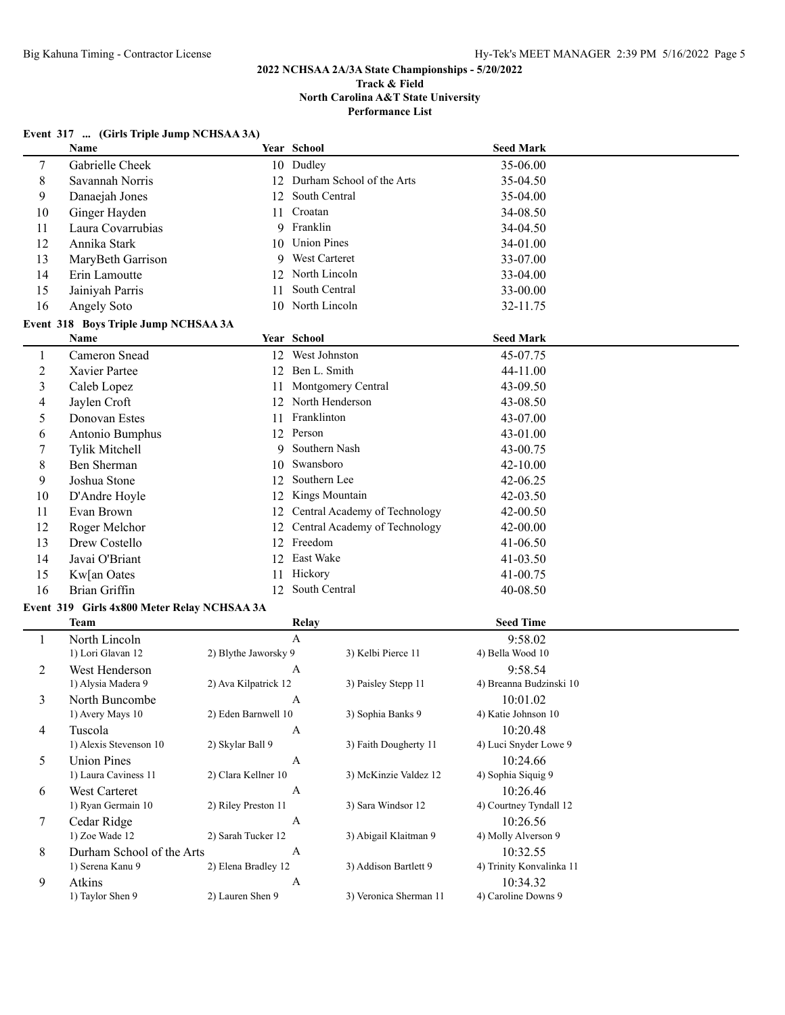### **Event 317 ... (Girls Triple Jump NCHSAA 3A)**

|                | Name                                        |                      | Year School        |                               | <b>Seed Mark</b>                |  |
|----------------|---------------------------------------------|----------------------|--------------------|-------------------------------|---------------------------------|--|
| 7              | Gabrielle Cheek                             |                      | 10 Dudley          |                               | 35-06.00                        |  |
| $\,8\,$        | Savannah Norris                             | 12                   |                    | Durham School of the Arts     | 35-04.50                        |  |
| 9              | Danaejah Jones                              | 12                   | South Central      |                               | 35-04.00                        |  |
| 10             | Ginger Hayden                               | 11                   | Croatan            |                               | 34-08.50                        |  |
| 11             | Laura Covarrubias                           | 9                    | Franklin           |                               | 34-04.50                        |  |
| 12             | Annika Stark                                | 10                   | <b>Union Pines</b> |                               | 34-01.00                        |  |
| 13             | MaryBeth Garrison                           | 9                    | West Carteret      |                               | 33-07.00                        |  |
| 14             | Erin Lamoutte                               | 12                   | North Lincoln      |                               | 33-04.00                        |  |
| 15             | Jainiyah Parris                             | 11                   | South Central      |                               | 33-00.00                        |  |
| 16             | Angely Soto                                 |                      | 10 North Lincoln   |                               | 32-11.75                        |  |
|                | Event 318 Boys Triple Jump NCHSAA 3A        |                      |                    |                               |                                 |  |
|                | Name                                        |                      | Year School        |                               | <b>Seed Mark</b>                |  |
| $\mathbf{1}$   | Cameron Snead                               |                      | 12 West Johnston   |                               | 45-07.75                        |  |
| $\overline{c}$ | Xavier Partee                               | 12                   | Ben L. Smith       |                               | 44-11.00                        |  |
| 3              | Caleb Lopez                                 | 11                   |                    | Montgomery Central            | 43-09.50                        |  |
| 4              | Jaylen Croft                                |                      | 12 North Henderson |                               | 43-08.50                        |  |
| 5              | Donovan Estes                               | 11                   | Franklinton        |                               | 43-07.00                        |  |
| 6              | Antonio Bumphus                             |                      | 12 Person          |                               | 43-01.00                        |  |
| 7              | Tylik Mitchell                              | 9                    | Southern Nash      |                               | 43-00.75                        |  |
| $\,8\,$        | Ben Sherman                                 | 10                   | Swansboro          |                               | 42-10.00                        |  |
| 9              | Joshua Stone                                | 12                   | Southern Lee       |                               | 42-06.25                        |  |
| 10             | D'Andre Hoyle                               | 12                   | Kings Mountain     |                               | 42-03.50                        |  |
| 11             | Evan Brown                                  | 12                   |                    | Central Academy of Technology | 42-00.50                        |  |
| 12             | Roger Melchor                               | 12                   |                    | Central Academy of Technology | 42-00.00                        |  |
| 13             | Drew Costello                               | 12                   | Freedom            |                               | 41-06.50                        |  |
| 14             | Javai O'Briant                              | 12                   | East Wake          |                               | 41-03.50                        |  |
| 15             | Kw[an Oates                                 | 11                   | Hickory            |                               | 41-00.75                        |  |
| 16             | Brian Griffin                               | 12                   | South Central      |                               | 40-08.50                        |  |
|                | Event 319 Girls 4x800 Meter Relay NCHSAA 3A |                      |                    |                               |                                 |  |
|                | <b>Team</b>                                 |                      | <b>Relay</b>       |                               | <b>Seed Time</b>                |  |
| $\mathbf{1}$   | North Lincoln                               |                      | $\mathbf{A}$       |                               | 9:58.02                         |  |
|                | 1) Lori Glavan 12                           | 2) Blythe Jaworsky 9 |                    | 3) Kelbi Pierce 11            | 4) Bella Wood 10                |  |
| 2              | West Henderson                              |                      | A                  |                               | 9:58.54                         |  |
|                | 1) Alysia Madera 9                          | 2) Ava Kilpatrick 12 |                    | 3) Paisley Stepp 11           | 4) Breanna Budzinski 10         |  |
| 3              | North Buncombe                              |                      | A                  |                               | 10:01.02                        |  |
|                | 1) Avery Mays 10                            | 2) Eden Barnwell 10  |                    | 3) Sophia Banks 9             | 4) Katie Johnson 10             |  |
| 4              | Tuscola                                     |                      | A                  |                               | 10:20.48                        |  |
|                | 1) Alexis Stevenson 10                      | 2) Skylar Ball 9     |                    | 3) Faith Dougherty 11         | 4) Luci Snyder Lowe 9           |  |
| 5              | <b>Union Pines</b>                          |                      | $\boldsymbol{A}$   |                               | 10:24.66                        |  |
|                | 1) Laura Caviness 11                        | 2) Clara Kellner 10  |                    | 3) McKinzie Valdez 12         | 4) Sophia Siquig 9              |  |
| 6              | West Carteret                               |                      | $\boldsymbol{A}$   |                               | 10:26.46                        |  |
|                | 1) Ryan Germain 10                          | 2) Riley Preston 11  |                    | 3) Sara Windsor 12            | 4) Courtney Tyndall 12          |  |
| 7              | Cedar Ridge<br>1) Zoe Wade 12               | 2) Sarah Tucker 12   | $\boldsymbol{A}$   |                               | 10:26.56                        |  |
| 8              | Durham School of the Arts                   |                      | $\boldsymbol{A}$   | 3) Abigail Klaitman 9         | 4) Molly Alverson 9<br>10:32.55 |  |
|                | 1) Serena Kanu 9                            | 2) Elena Bradley 12  |                    | 3) Addison Bartlett 9         | 4) Trinity Konvalinka 11        |  |
| 9              | Atkins                                      |                      | A                  |                               | 10:34.32                        |  |
|                | 1) Taylor Shen 9                            | 2) Lauren Shen 9     |                    | 3) Veronica Sherman 11        | 4) Caroline Downs 9             |  |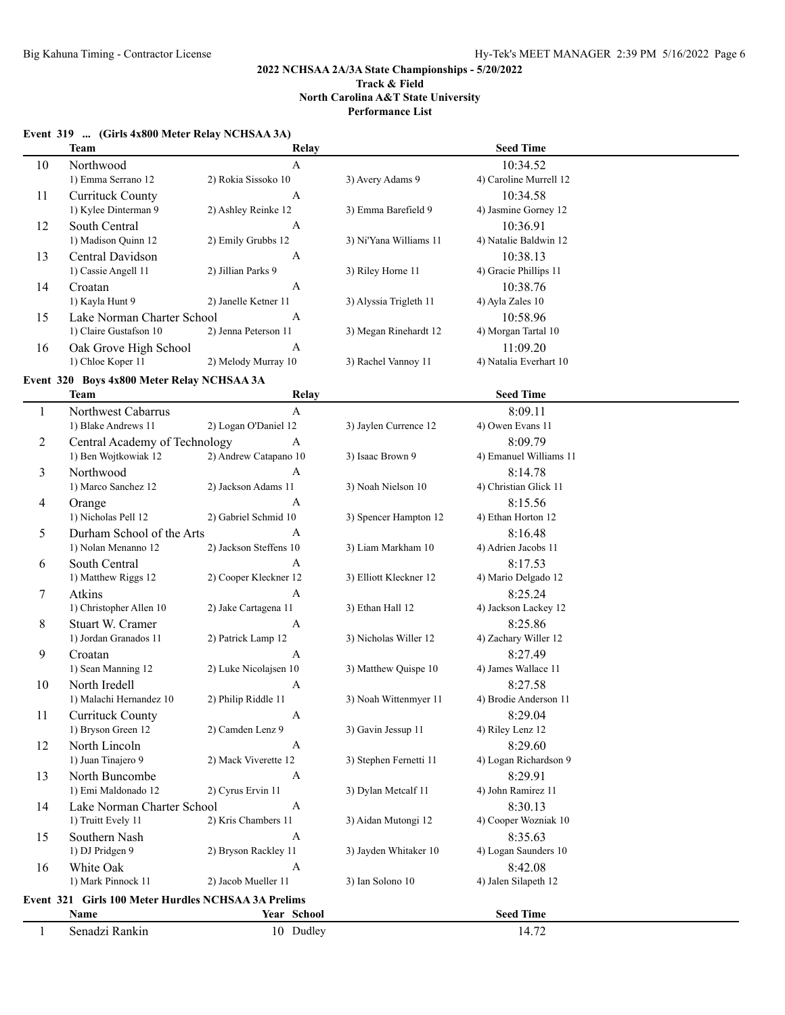**North Carolina A&T State University**

|  |  | Event 319  (Girls 4x800 Meter Relay NCHSAA 3A) |  |
|--|--|------------------------------------------------|--|
|  |  |                                                |  |

|              | <b>Team</b>                                               | Relay                  |                        | <b>Seed Time</b>       |  |
|--------------|-----------------------------------------------------------|------------------------|------------------------|------------------------|--|
| 10           | Northwood                                                 | $\mathbf{A}$           |                        | 10:34.52               |  |
|              | 1) Emma Serrano 12                                        | 2) Rokia Sissoko 10    | 3) Avery Adams 9       | 4) Caroline Murrell 12 |  |
| 11           | Currituck County                                          | $\boldsymbol{A}$       |                        | 10:34.58               |  |
|              | 1) Kylee Dinterman 9                                      | 2) Ashley Reinke 12    | 3) Emma Barefield 9    | 4) Jasmine Gorney 12   |  |
| 12           | South Central                                             | A                      |                        | 10:36.91               |  |
|              | 1) Madison Quinn 12                                       | 2) Emily Grubbs 12     | 3) Ni'Yana Williams 11 | 4) Natalie Baldwin 12  |  |
| 13           | Central Davidson                                          | A                      |                        | 10:38.13               |  |
|              | 1) Cassie Angell 11                                       | 2) Jillian Parks 9     | 3) Riley Horne 11      | 4) Gracie Phillips 11  |  |
| 14           | Croatan                                                   | $\boldsymbol{A}$       |                        | 10:38.76               |  |
|              | 1) Kayla Hunt 9                                           | 2) Janelle Ketner 11   | 3) Alyssia Trigleth 11 | 4) Ayla Zales 10       |  |
| 15           | Lake Norman Charter School                                | A                      |                        | 10:58.96               |  |
|              | 1) Claire Gustafson 10                                    | 2) Jenna Peterson 11   | 3) Megan Rinehardt 12  | 4) Morgan Tartal 10    |  |
| 16           | Oak Grove High School                                     | A                      |                        | 11:09.20               |  |
|              | 1) Chloe Koper 11                                         | 2) Melody Murray 10    | 3) Rachel Vannoy 11    | 4) Natalia Everhart 10 |  |
|              |                                                           |                        |                        |                        |  |
|              | Event 320 Boys 4x800 Meter Relay NCHSAA 3A<br><b>Team</b> |                        |                        | <b>Seed Time</b>       |  |
|              |                                                           | Relay                  |                        |                        |  |
| $\mathbf{1}$ | Northwest Cabarrus                                        | $\mathbf{A}$           | 3) Jaylen Currence 12  | 8:09.11                |  |
|              | 1) Blake Andrews 11                                       | 2) Logan O'Daniel 12   |                        | 4) Owen Evans 11       |  |
| 2            | Central Academy of Technology                             | A                      |                        | 8:09.79                |  |
|              | 1) Ben Wojtkowiak 12                                      | 2) Andrew Catapano 10  | 3) Isaac Brown 9       | 4) Emanuel Williams 11 |  |
| 3            | Northwood                                                 | A                      |                        | 8:14.78                |  |
|              | 1) Marco Sanchez 12                                       | 2) Jackson Adams 11    | 3) Noah Nielson 10     | 4) Christian Glick 11  |  |
| 4            | Orange                                                    | A                      |                        | 8:15.56                |  |
|              | 1) Nicholas Pell 12                                       | 2) Gabriel Schmid 10   | 3) Spencer Hampton 12  | 4) Ethan Horton 12     |  |
| 5            | Durham School of the Arts                                 | A                      |                        | 8:16.48                |  |
|              | 1) Nolan Menanno 12                                       | 2) Jackson Steffens 10 | 3) Liam Markham 10     | 4) Adrien Jacobs 11    |  |
| 6            | South Central                                             | A                      |                        | 8:17.53                |  |
|              | 1) Matthew Riggs 12                                       | 2) Cooper Kleckner 12  | 3) Elliott Kleckner 12 | 4) Mario Delgado 12    |  |
| 7            | Atkins                                                    | A                      |                        | 8:25.24                |  |
|              | 1) Christopher Allen 10                                   | 2) Jake Cartagena 11   | 3) Ethan Hall 12       | 4) Jackson Lackey 12   |  |
| 8            | Stuart W. Cramer                                          | A                      |                        | 8:25.86                |  |
|              | 1) Jordan Granados 11                                     | 2) Patrick Lamp 12     | 3) Nicholas Willer 12  | 4) Zachary Willer 12   |  |
| 9            | Croatan                                                   | A                      |                        | 8:27.49                |  |
|              | 1) Sean Manning 12                                        | 2) Luke Nicolajsen 10  | 3) Matthew Ouispe 10   | 4) James Wallace 11    |  |
| 10           | North Iredell                                             | A                      |                        | 8:27.58                |  |
|              | 1) Malachi Hernandez 10                                   | 2) Philip Riddle 11    | 3) Noah Wittenmyer 11  | 4) Brodie Anderson 11  |  |
| 11           | <b>Currituck County</b>                                   | A                      |                        | 8:29.04                |  |
|              | 1) Bryson Green 12                                        | 2) Camden Lenz 9       | 3) Gavin Jessup 11     | 4) Riley Lenz 12       |  |
| 12           | North Lincoln                                             | A                      |                        | 8:29.60                |  |
|              | 1) Juan Tinajero 9                                        | 2) Mack Viverette 12   | 3) Stephen Fernetti 11 | 4) Logan Richardson 9  |  |
| 13           | North Buncombe                                            | A                      |                        | 8:29.91                |  |
|              | 1) Emi Maldonado 12                                       | 2) Cyrus Ervin 11      | 3) Dylan Metcalf 11    | 4) John Ramirez 11     |  |
| 14           | Lake Norman Charter School                                | A                      |                        | 8:30.13                |  |
|              | 1) Truitt Evely 11                                        | 2) Kris Chambers 11    | 3) Aidan Mutongi 12    | 4) Cooper Wozniak 10   |  |
| 15           | Southern Nash                                             | $\boldsymbol{A}$       |                        | 8:35.63                |  |
|              | 1) DJ Pridgen 9                                           | 2) Bryson Rackley 11   | 3) Jayden Whitaker 10  | 4) Logan Saunders 10   |  |
| 16           | White Oak                                                 | $\boldsymbol{A}$       |                        | 8:42.08                |  |
|              | 1) Mark Pinnock 11                                        | 2) Jacob Mueller 11    | 3) Ian Solono 10       | 4) Jalen Silapeth 12   |  |
|              | Event 321 Girls 100 Meter Hurdles NCHSAA 3A Prelims       |                        |                        |                        |  |
|              | Name                                                      | Year School            |                        | <b>Seed Time</b>       |  |
|              | Senadzi Rankin                                            | 10 Dudley              |                        | 14.72                  |  |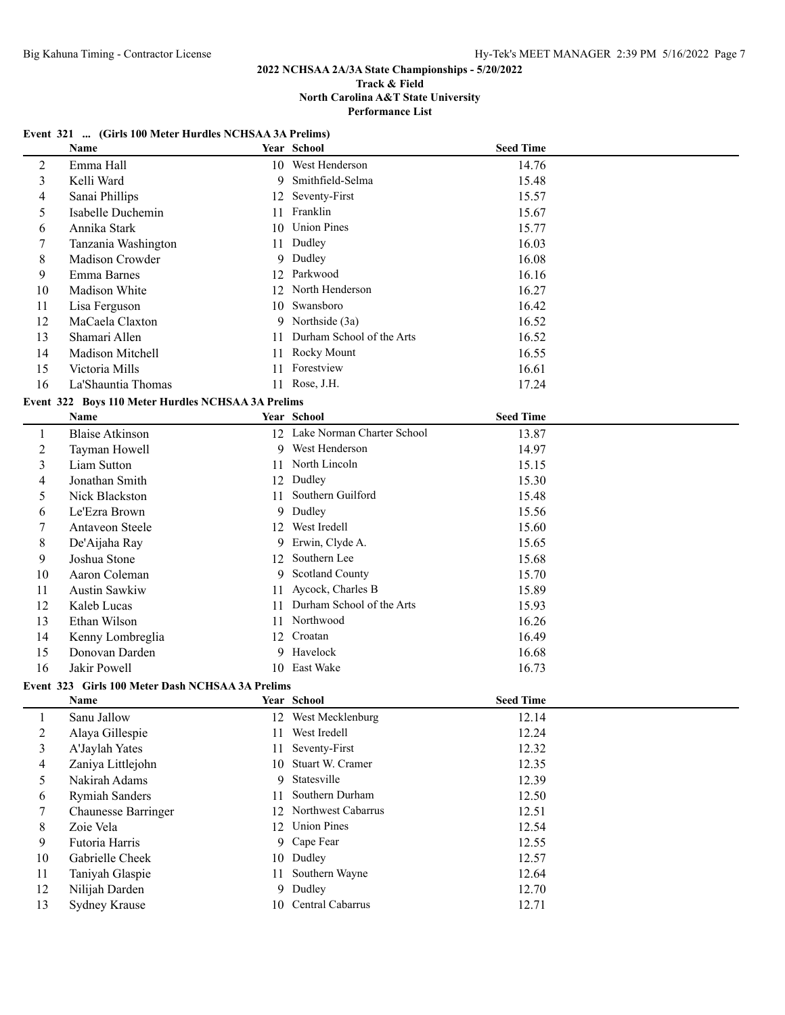### **Track & Field North Carolina A&T State University Performance List**

| Event 321  (Girls 100 Meter Hurdles NCHSAA 3A Prelims) |
|--------------------------------------------------------|
|--------------------------------------------------------|

|                         | Name                                               |         | Year School                   | <b>Seed Time</b> |  |
|-------------------------|----------------------------------------------------|---------|-------------------------------|------------------|--|
| $\overline{2}$          | Emma Hall                                          | 10      | West Henderson                | 14.76            |  |
| 3                       | Kelli Ward                                         | 9       | Smithfield-Selma              | 15.48            |  |
| 4                       | Sanai Phillips                                     | 12      | Seventy-First                 | 15.57            |  |
| 5                       | Isabelle Duchemin                                  | 11      | Franklin                      | 15.67            |  |
| 6                       | Annika Stark                                       | 10      | <b>Union Pines</b>            | 15.77            |  |
| 7                       | Tanzania Washington                                | 11      | Dudley                        | 16.03            |  |
| 8                       | Madison Crowder                                    | 9       | Dudley                        | 16.08            |  |
| 9                       | Emma Barnes                                        | 12      | Parkwood                      | 16.16            |  |
| 10                      | Madison White                                      | 12      | North Henderson               | 16.27            |  |
| 11                      | Lisa Ferguson                                      | 10      | Swansboro                     | 16.42            |  |
| 12                      | MaCaela Claxton                                    | 9       | Northside (3a)                | 16.52            |  |
| 13                      | Shamari Allen                                      | 11      | Durham School of the Arts     | 16.52            |  |
| 14                      | Madison Mitchell                                   | 11      | Rocky Mount                   | 16.55            |  |
| 15                      | Victoria Mills                                     | 11      | Forestview                    | 16.61            |  |
| 16                      | La'Shauntia Thomas                                 |         | 11 Rose, J.H.                 | 17.24            |  |
|                         | Event 322 Boys 110 Meter Hurdles NCHSAA 3A Prelims |         |                               |                  |  |
|                         | Name                                               |         | Year School                   | <b>Seed Time</b> |  |
| $\mathbf{1}$            | <b>Blaise Atkinson</b>                             |         | 12 Lake Norman Charter School | 13.87            |  |
| $\overline{c}$          | Tayman Howell                                      |         | 9 West Henderson              | 14.97            |  |
| $\overline{\mathbf{3}}$ | Liam Sutton                                        |         | 11 North Lincoln              | 15.15            |  |
| 4                       | Jonathan Smith                                     |         | 12 Dudley                     | 15.30            |  |
| 5                       | Nick Blackston                                     |         | 11 Southern Guilford          | 15.48            |  |
| 6                       | Le'Ezra Brown                                      |         | 9 Dudley                      | 15.56            |  |
| 7                       | Antaveon Steele                                    |         | 12 West Iredell               | 15.60            |  |
| 8                       |                                                    |         | 9 Erwin, Clyde A.             | 15.65            |  |
| 9                       | De'Aijaha Ray<br>Joshua Stone                      |         | 12 Southern Lee               | 15.68            |  |
| 10                      | Aaron Coleman                                      | 9.      | <b>Scotland County</b>        | 15.70            |  |
| 11                      | Austin Sawkiw                                      |         | Aycock, Charles B             | 15.89            |  |
| 12                      | Kaleb Lucas                                        | 11      | Durham School of the Arts     |                  |  |
|                         |                                                    | 11      | Northwood                     | 15.93            |  |
| 13                      | Ethan Wilson                                       | 11      | Croatan                       | 16.26            |  |
| 14                      | Kenny Lombreglia                                   | 12<br>9 | Havelock                      | 16.49            |  |
| 15<br>16                | Donovan Darden                                     |         | 10 East Wake                  | 16.68            |  |
|                         | Jakir Powell                                       |         |                               | 16.73            |  |
|                         | Event 323 Girls 100 Meter Dash NCHSAA 3A Prelims   |         |                               |                  |  |
|                         | Name                                               |         | Year School                   | <b>Seed Time</b> |  |
| 1                       | Sanu Jallow                                        |         | 12 West Mecklenburg           | 12.14            |  |
| $\overline{c}$          | Alaya Gillespie                                    |         | 11 West Iredell               | 12.24            |  |
| 3                       | A'Jaylah Yates                                     | 11      | Seventy-First                 | 12.32            |  |
| 4                       | Zaniya Littlejohn                                  | 10      | Stuart W. Cramer              | 12.35            |  |
| 5                       | Nakirah Adams                                      | 9       | Statesville                   | 12.39            |  |
| 6                       | <b>Rymiah Sanders</b>                              | 11      | Southern Durham               | 12.50            |  |
| 7                       | Chaunesse Barringer                                |         | 12 Northwest Cabarrus         | 12.51            |  |
| 8                       | Zoie Vela                                          |         | 12 Union Pines                | 12.54            |  |
| 9                       | Futoria Harris                                     | 9       | Cape Fear                     | 12.55            |  |
| 10                      | Gabrielle Cheek                                    | 10      | Dudley                        | 12.57            |  |
| 11                      | Taniyah Glaspie                                    |         | 11 Southern Wayne             | 12.64            |  |
| 12                      | Nilijah Darden                                     |         | 9 Dudley                      | 12.70            |  |
| 13                      | Sydney Krause                                      |         | 10 Central Cabarrus           | 12.71            |  |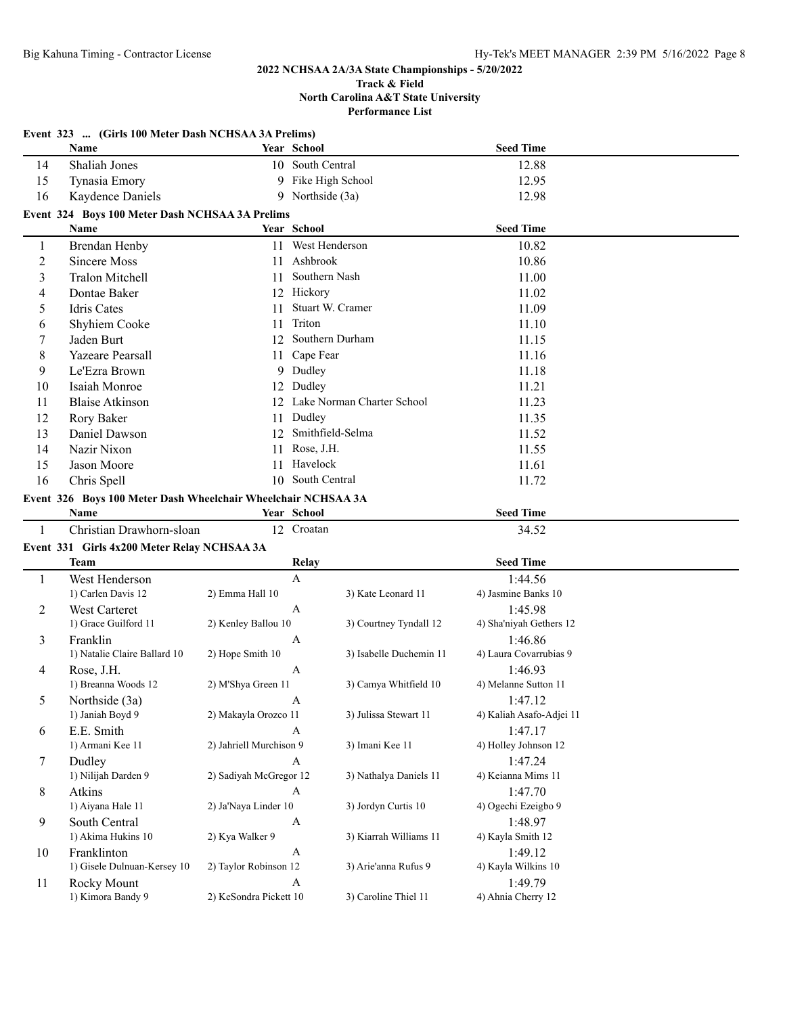### **Track & Field North Carolina A&T State University Performance List**

|                | Event 323  (Girls 100 Meter Dash NCHSAA 3A Prelims)           |                         |                                        |                                |  |
|----------------|---------------------------------------------------------------|-------------------------|----------------------------------------|--------------------------------|--|
|                | Name                                                          |                         | Year School                            | <b>Seed Time</b>               |  |
| 14             | Shaliah Jones                                                 |                         | 10 South Central                       | 12.88                          |  |
| 15             | Tynasia Emory                                                 |                         | 9 Fike High School                     | 12.95                          |  |
| 16             | Kaydence Daniels                                              |                         | 9 Northside (3a)                       | 12.98                          |  |
|                | Event 324 Boys 100 Meter Dash NCHSAA 3A Prelims               |                         |                                        |                                |  |
|                | Name                                                          |                         | Year School                            | <b>Seed Time</b>               |  |
| 1              | <b>Brendan Henby</b>                                          |                         | 11 West Henderson                      | 10.82                          |  |
| $\overline{c}$ | Sincere Moss                                                  |                         | 11 Ashbrook                            | 10.86                          |  |
| 3              | Tralon Mitchell                                               | 11                      | Southern Nash                          | 11.00                          |  |
| 4              | Dontae Baker                                                  |                         | 12 Hickory                             | 11.02                          |  |
| 5              | Idris Cates                                                   | 11                      | Stuart W. Cramer                       | 11.09                          |  |
| 6              | Shyhiem Cooke                                                 | 11                      | Triton                                 | 11.10                          |  |
| 7              | Jaden Burt                                                    | 12                      | Southern Durham                        | 11.15                          |  |
| 8              | Yazeare Pearsall                                              | 11                      | Cape Fear                              | 11.16                          |  |
| 9              | Le'Ezra Brown                                                 | 9                       | Dudley                                 | 11.18                          |  |
| 10             | Isaiah Monroe                                                 | 12                      | Dudley                                 | 11.21                          |  |
| 11             | <b>Blaise Atkinson</b>                                        | 12                      | Lake Norman Charter School             | 11.23                          |  |
| 12             | Rory Baker                                                    | 11                      | Dudley                                 | 11.35                          |  |
| 13             | Daniel Dawson                                                 | 12                      | Smithfield-Selma                       | 11.52                          |  |
| 14             | Nazir Nixon                                                   | 11                      | Rose, J.H.                             | 11.55                          |  |
| 15             | Jason Moore                                                   | 11                      | Havelock                               | 11.61                          |  |
| 16             | Chris Spell                                                   |                         | 10 South Central                       | 11.72                          |  |
|                | Event 326 Boys 100 Meter Dash Wheelchair Wheelchair NCHSAA 3A |                         |                                        |                                |  |
|                | Name                                                          |                         | Year School                            | <b>Seed Time</b>               |  |
| 1              | Christian Drawhorn-sloan                                      |                         | 12 Croatan                             | 34.52                          |  |
|                | Event 331 Girls 4x200 Meter Relay NCHSAA 3A                   |                         |                                        |                                |  |
|                | <b>Team</b>                                                   |                         | Relay                                  | <b>Seed Time</b>               |  |
| 1              | West Henderson                                                |                         | $\mathbf{A}$                           | 1:44.56                        |  |
|                | 1) Carlen Davis 12                                            | 2) Emma Hall 10         | 3) Kate Leonard 11                     | 4) Jasmine Banks 10            |  |
| 2              | West Carteret                                                 |                         | A                                      | 1:45.98                        |  |
|                | 1) Grace Guilford 11                                          | 2) Kenley Ballou 10     | 3) Courtney Tyndall 12                 | 4) Sha'niyah Gethers 12        |  |
| 3              | Franklin                                                      |                         | A                                      | 1:46.86                        |  |
|                | 1) Natalie Claire Ballard 10                                  | 2) Hope Smith 10        | 3) Isabelle Duchemin 11                | 4) Laura Covarrubias 9         |  |
| 4              | Rose, J.H.                                                    |                         | A                                      | 1:46.93                        |  |
|                | 1) Breanna Woods 12                                           | 2) M'Shya Green 11      | 3) Camya Whitfield 10                  | 4) Melanne Sutton 11           |  |
| 5              | Northside (3a)                                                |                         |                                        | 1:47.12                        |  |
|                | 1) Janiah Boyd 9                                              | 2) Makayla Orozco 11    | 3) Julissa Stewart 11                  | 4) Kaliah Asafo-Adjei 11       |  |
| 6              | E.E. Smith                                                    |                         | A                                      | 1:47.17                        |  |
|                | 1) Armani Kee 11                                              | 2) Jahriell Murchison 9 | 3) Imani Kee 11                        | 4) Holley Johnson 12           |  |
| 7              | Dudley<br>1) Nilijah Darden 9                                 | 2) Sadiyah McGregor 12  | $\mathbf{A}$<br>3) Nathalya Daniels 11 | 1:47.24<br>4) Keianna Mims 11  |  |
|                |                                                               |                         | $\mathbf{A}$                           |                                |  |
| 8              | Atkins<br>1) Aiyana Hale 11                                   | 2) Ja'Naya Linder 10    | 3) Jordyn Curtis 10                    | 1:47.70<br>4) Ogechi Ezeigbo 9 |  |
| 9              | South Central                                                 |                         | A                                      | 1:48.97                        |  |
|                | 1) Akima Hukins 10                                            | 2) Kya Walker 9         | 3) Kiarrah Williams 11                 | 4) Kayla Smith 12              |  |
| 10             | Franklinton                                                   |                         | A                                      | 1:49.12                        |  |
|                | 1) Gisele Dulnuan-Kersey 10                                   | 2) Taylor Robinson 12   | 3) Arie'anna Rufus 9                   | 4) Kayla Wilkins 10            |  |
| 11             | Rocky Mount                                                   |                         | A                                      | 1:49.79                        |  |
|                | 1) Kimora Bandy 9                                             | 2) KeSondra Pickett 10  | 3) Caroline Thiel 11                   | 4) Ahnia Cherry 12             |  |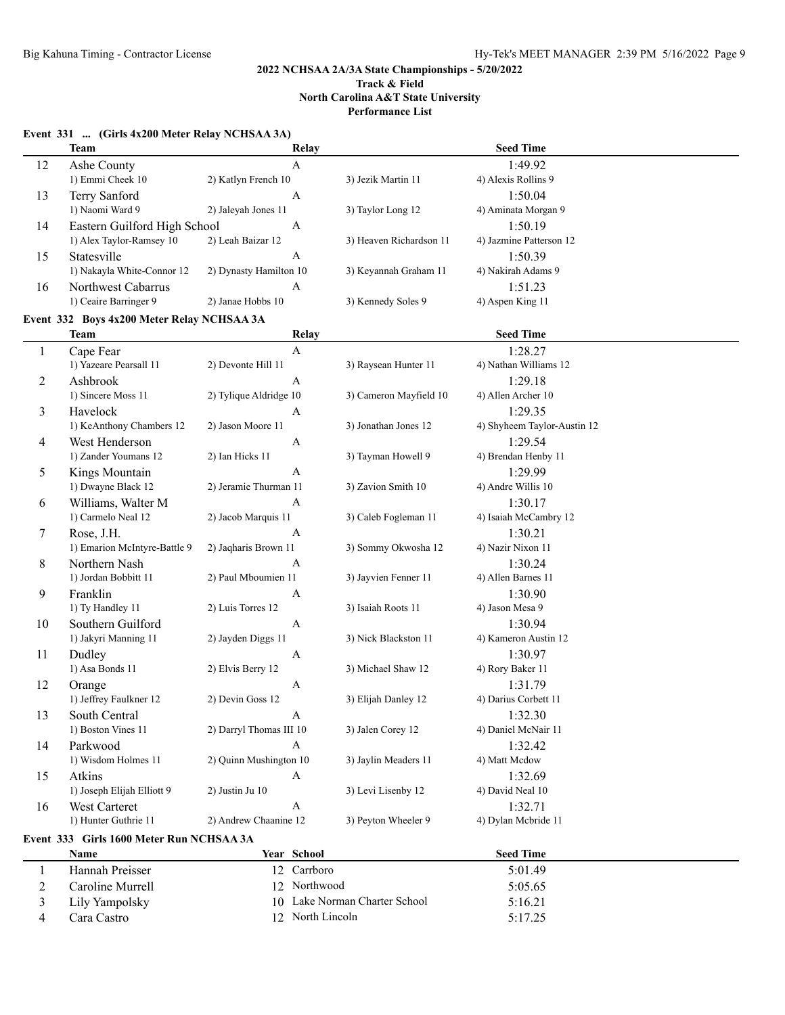### **North Carolina A&T State University**

|                | Event 331  (Girls 4x200 Meter Relay NCHSAA 3A)<br><b>Team</b> | Relay                   |                               | <b>Seed Time</b>            |  |
|----------------|---------------------------------------------------------------|-------------------------|-------------------------------|-----------------------------|--|
| 12             | Ashe County                                                   | A                       |                               | 1:49.92                     |  |
|                | 1) Emmi Cheek 10                                              | 2) Katlyn French 10     | 3) Jezik Martin 11            | 4) Alexis Rollins 9         |  |
| 13             | Terry Sanford                                                 | A                       |                               | 1:50.04                     |  |
|                | 1) Naomi Ward 9                                               | 2) Jaleyah Jones 11     | 3) Taylor Long 12             | 4) Aminata Morgan 9         |  |
| 14             | Eastern Guilford High School                                  | A                       |                               | 1:50.19                     |  |
|                | 1) Alex Taylor-Ramsey 10                                      | 2) Leah Baizar 12       | 3) Heaven Richardson 11       | 4) Jazmine Patterson 12     |  |
| 15             | Statesville                                                   | $\mathbf{A}$            |                               | 1:50.39                     |  |
|                | 1) Nakayla White-Connor 12                                    | 2) Dynasty Hamilton 10  | 3) Keyannah Graham 11         | 4) Nakirah Adams 9          |  |
| 16             | Northwest Cabarrus                                            | $\mathbf{A}$            |                               | 1:51.23                     |  |
|                | 1) Ceaire Barringer 9                                         | 2) Janae Hobbs 10       | 3) Kennedy Soles 9            | 4) Aspen King 11            |  |
|                | Event 332 Boys 4x200 Meter Relay NCHSAA 3A                    |                         |                               |                             |  |
|                | <b>Team</b>                                                   | Relay                   |                               | <b>Seed Time</b>            |  |
| 1              | Cape Fear                                                     | $\mathbf{A}$            |                               | 1:28.27                     |  |
|                | 1) Yazeare Pearsall 11                                        | 2) Devonte Hill 11      | 3) Raysean Hunter 11          | 4) Nathan Williams 12       |  |
| 2              | Ashbrook                                                      | A                       |                               | 1:29.18                     |  |
|                | 1) Sincere Moss 11                                            | 2) Tylique Aldridge 10  | 3) Cameron Mayfield 10        | 4) Allen Archer 10          |  |
| 3              | Havelock                                                      | A                       |                               | 1:29.35                     |  |
|                | 1) KeAnthony Chambers 12                                      | 2) Jason Moore 11       | 3) Jonathan Jones 12          | 4) Shyheem Taylor-Austin 12 |  |
| 4              | West Henderson                                                | A                       |                               | 1:29.54                     |  |
|                | 1) Zander Youmans 12                                          | 2) Ian Hicks 11         | 3) Tayman Howell 9            | 4) Brendan Henby 11         |  |
| 5              | Kings Mountain                                                | A                       |                               | 1:29.99                     |  |
|                | 1) Dwayne Black 12                                            | 2) Jeramie Thurman 11   | 3) Zavion Smith 10            | 4) Andre Willis 10          |  |
| 6              | Williams, Walter M                                            | A                       |                               | 1:30.17                     |  |
|                | 1) Carmelo Neal 12                                            | 2) Jacob Marquis 11     | 3) Caleb Fogleman 11          | 4) Isaiah McCambry 12       |  |
| 7              | Rose, J.H.                                                    | A                       |                               | 1:30.21                     |  |
|                | 1) Emarion McIntyre-Battle 9                                  | 2) Jaqharis Brown 11    | 3) Sommy Okwosha 12           | 4) Nazir Nixon 11           |  |
| 8              | Northern Nash                                                 | A                       |                               | 1:30.24                     |  |
|                | 1) Jordan Bobbitt 11                                          | 2) Paul Mboumien 11     | 3) Jayvien Fenner 11          | 4) Allen Barnes 11          |  |
| 9              | Franklin                                                      | A                       |                               | 1:30.90                     |  |
|                | 1) Ty Handley 11                                              | 2) Luis Torres 12       | 3) Isaiah Roots 11            | 4) Jason Mesa 9             |  |
| 10             | Southern Guilford                                             | $\boldsymbol{A}$        |                               | 1:30.94                     |  |
|                | 1) Jakyri Manning 11                                          | 2) Jayden Diggs 11      | 3) Nick Blackston 11          | 4) Kameron Austin 12        |  |
| 11             | Dudley                                                        | A                       |                               | 1:30.97                     |  |
|                | 1) Asa Bonds 11                                               | 2) Elvis Berry 12       | 3) Michael Shaw 12            | 4) Rory Baker 11            |  |
| 12             | Orange                                                        | A                       |                               | 1:31.79                     |  |
|                | 1) Jeffrey Faulkner 12                                        | 2) Devin Goss 12        | 3) Elijah Danley 12           | 4) Darius Corbett 11        |  |
| 13             | South Central                                                 | $\mathbf{A}$            |                               | 1:32.30                     |  |
|                | 1) Boston Vines 11                                            | 2) Darryl Thomas III 10 | 3) Jalen Corey 12             | 4) Daniel McNair 11         |  |
| 14             | Parkwood                                                      | A                       |                               | 1:32.42                     |  |
|                | 1) Wisdom Holmes 11                                           | 2) Quinn Mushington 10  | 3) Jaylin Meaders 11          | 4) Matt Mcdow               |  |
| 15             | Atkins                                                        | A                       |                               | 1:32.69                     |  |
|                | 1) Joseph Elijah Elliott 9                                    | $2)$ Justin Ju $10$     | 3) Levi Lisenby 12            | 4) David Neal 10            |  |
|                | West Carteret                                                 | A                       |                               | 1:32.71                     |  |
| 16             | 1) Hunter Guthrie 11                                          | 2) Andrew Chaanine 12   | 3) Peyton Wheeler 9           | 4) Dylan Mcbride 11         |  |
|                |                                                               |                         |                               |                             |  |
|                | Event 333 Girls 1600 Meter Run NCHSAA 3A<br>Name              | Year School             |                               | <b>Seed Time</b>            |  |
|                |                                                               | 12 Carrboro             |                               |                             |  |
| $\mathbf{1}$   | Hannah Preisser                                               |                         |                               | 5:01.49                     |  |
| $\overline{c}$ | Caroline Murrell                                              | 12 Northwood            |                               | 5:05.65                     |  |
| 3              | Lily Yampolsky                                                |                         | 10 Lake Norman Charter School | 5:16.21                     |  |
| 4              | Cara Castro                                                   |                         | 12 North Lincoln              | 5:17.25                     |  |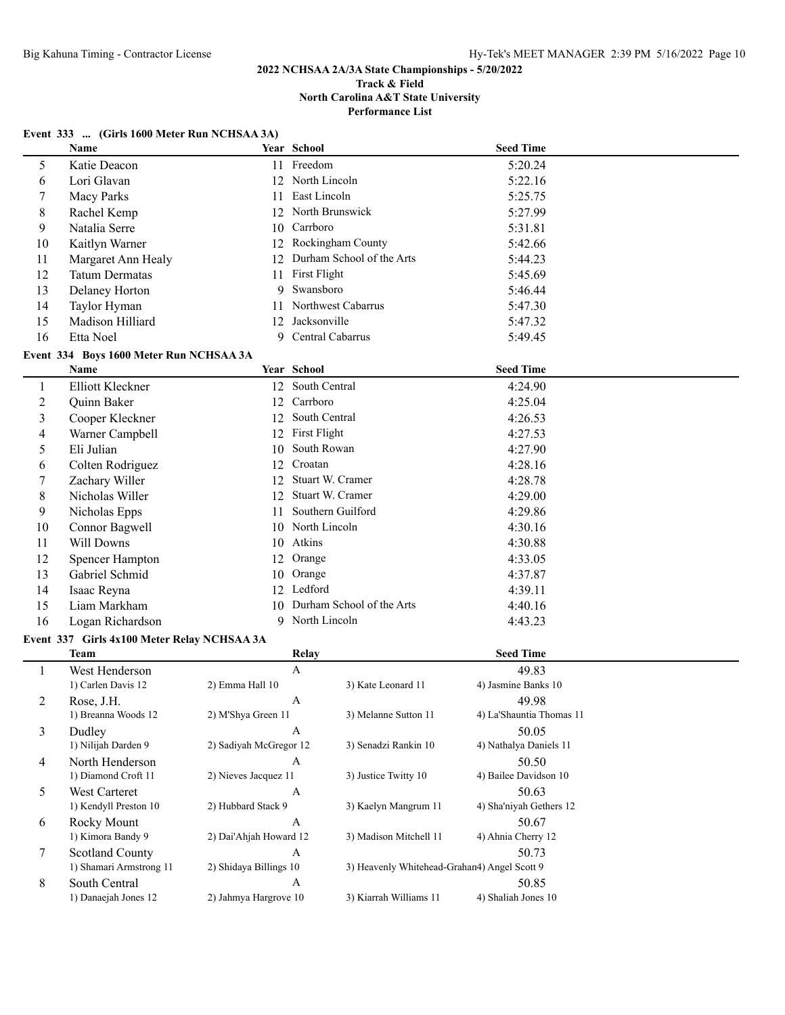### **Track & Field North Carolina A&T State University Performance List**

#### **Event 333 ... (Girls 1600 Meter Run NCHSAA 3A)**

|                | <b>Name</b>                                 |                 | Year School               | <b>Seed Time</b>    |  |
|----------------|---------------------------------------------|-----------------|---------------------------|---------------------|--|
| 5              | Katie Deacon                                |                 | 11 Freedom                | 5:20.24             |  |
| 6              | Lori Glavan                                 | 12              | North Lincoln             | 5:22.16             |  |
| 7              | Macy Parks                                  | 11              | East Lincoln              | 5:25.75             |  |
| 8              | Rachel Kemp                                 | 12              | North Brunswick           | 5:27.99             |  |
| 9              | Natalia Serre                               | 10              | Carrboro                  | 5:31.81             |  |
| 10             | Kaitlyn Warner                              | 12              | Rockingham County         | 5:42.66             |  |
| 11             | Margaret Ann Healy                          | 12              | Durham School of the Arts | 5:44.23             |  |
| 12             | <b>Tatum Dermatas</b>                       |                 | 11 First Flight           | 5:45.69             |  |
| 13             | Delaney Horton                              | 9               | Swansboro                 | 5:46.44             |  |
| 14             | Taylor Hyman                                | 11              | Northwest Cabarrus        | 5:47.30             |  |
| 15             | Madison Hilliard                            | 12              | Jacksonville              | 5:47.32             |  |
| 16             | Etta Noel                                   | 9               | Central Cabarrus          | 5:49.45             |  |
|                | Event 334 Boys 1600 Meter Run NCHSAA 3A     |                 |                           |                     |  |
|                | Name                                        |                 | Year School               | <b>Seed Time</b>    |  |
| 1              | Elliott Kleckner                            | 12              | South Central             | 4:24.90             |  |
| $\overline{2}$ | Quinn Baker                                 | 12              | Carrboro                  | 4:25.04             |  |
| 3              | Cooper Kleckner                             | 12              | South Central             | 4:26.53             |  |
| 4              | Warner Campbell                             |                 | 12 First Flight           | 4:27.53             |  |
| 5              | Eli Julian                                  | 10              | South Rowan               | 4:27.90             |  |
| 6              | Colten Rodriguez                            |                 | 12 Croatan                | 4:28.16             |  |
| 7              | Zachary Willer                              | 12              | Stuart W. Cramer          | 4:28.78             |  |
| 8              | Nicholas Willer                             | 12              | Stuart W. Cramer          | 4:29.00             |  |
| 9              | Nicholas Epps                               | 11              | Southern Guilford         | 4:29.86             |  |
| 10             | Connor Bagwell                              |                 | 10 North Lincoln          | 4:30.16             |  |
| 11             | Will Downs                                  |                 | 10 Atkins                 | 4:30.88             |  |
| 12             | <b>Spencer Hampton</b>                      | 12              | Orange                    | 4:33.05             |  |
| 13             | Gabriel Schmid                              | 10              | Orange                    | 4:37.87             |  |
| 14             | Isaac Reyna                                 |                 | 12 Ledford                | 4:39.11             |  |
| 15             | Liam Markham                                | 10              | Durham School of the Arts | 4:40.16             |  |
| 16             | Logan Richardson                            |                 | 9 North Lincoln           | 4:43.23             |  |
|                | Event 337 Girls 4x100 Meter Relay NCHSAA 3A |                 |                           |                     |  |
|                | <b>Team</b>                                 |                 | Relay                     | <b>Seed Time</b>    |  |
| $\mathbf{1}$   | West Henderson                              |                 | $\mathbf{A}$              | 49.83               |  |
|                | 1) Carlen Davis 12                          | 2) Emma Hall 10 | 3) Kate Leonard 11        | 4) Jasmine Banks 10 |  |

| West Henderson |                         | A                      |                                              | 49.83                    |  |
|----------------|-------------------------|------------------------|----------------------------------------------|--------------------------|--|
|                | 1) Carlen Davis 12      | 2) Emma Hall 10        | 3) Kate Leonard 11                           | 4) Jasmine Banks 10      |  |
| 2              | Rose, J.H.              | A                      |                                              | 49.98                    |  |
|                | 1) Breanna Woods 12     | 2) M'Shya Green 11     | 3) Melanne Sutton 11                         | 4) La'Shauntia Thomas 11 |  |
| 3              | Dudley                  | Α                      |                                              | 50.05                    |  |
|                | 1) Nilijah Darden 9     | 2) Sadiyah McGregor 12 | 3) Senadzi Rankin 10                         | 4) Nathalya Daniels 11   |  |
| 4              | North Henderson         | Α                      |                                              | 50.50                    |  |
|                | 1) Diamond Croft 11     | 2) Nieves Jacquez 11   | 3) Justice Twitty 10                         | 4) Bailee Davidson 10    |  |
| 5              | <b>West Carteret</b>    | A                      |                                              | 50.63                    |  |
|                | 1) Kendyll Preston 10   | 2) Hubbard Stack 9     | 3) Kaelyn Mangrum 11                         | 4) Sha'niyah Gethers 12  |  |
| 6              | Rocky Mount             | $\mathbf{A}$           |                                              | 50.67                    |  |
|                | 1) Kimora Bandy 9       | 2) Dai'Ahjah Howard 12 | 3) Madison Mitchell 11                       | 4) Ahnia Cherry 12       |  |
|                | <b>Scotland County</b>  | $\mathbf{A}$           |                                              | 50.73                    |  |
|                | 1) Shamari Armstrong 11 | 2) Shidaya Billings 10 | 3) Heavenly Whitehead-Grahan4) Angel Scott 9 |                          |  |
| 8              | South Central           | A                      |                                              | 50.85                    |  |
|                | 1) Danaejah Jones 12    | 2) Jahmya Hargrove 10  | 3) Kiarrah Williams 11                       | 4) Shaliah Jones 10      |  |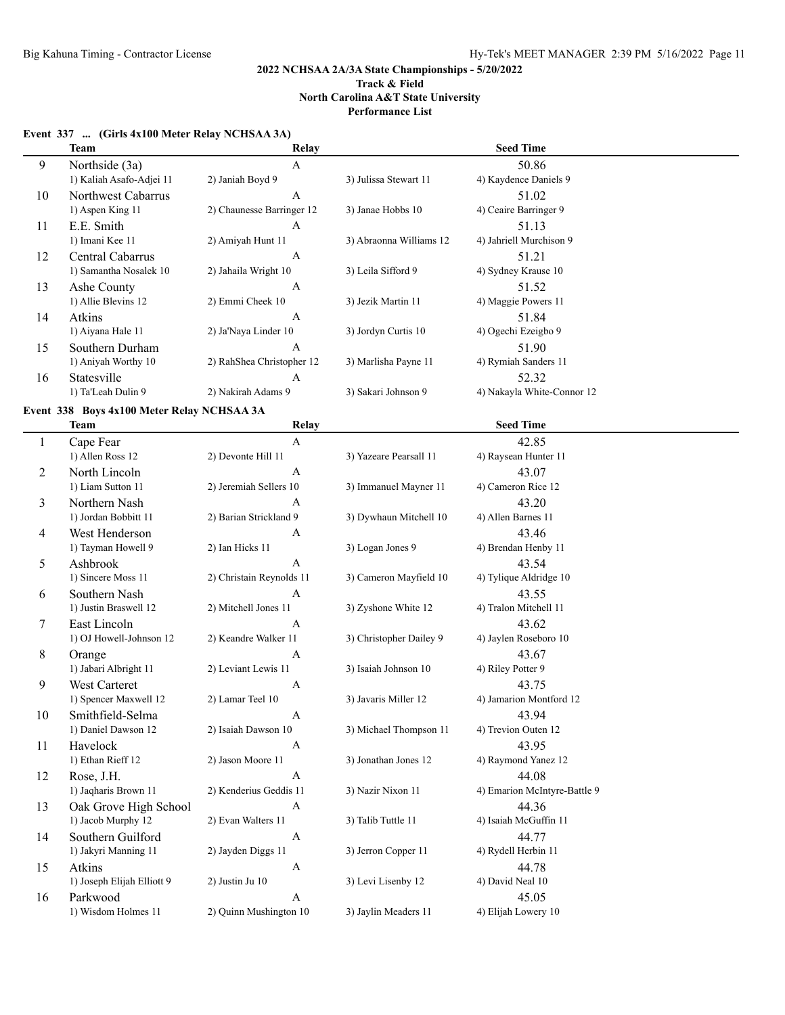**Performance List**

### **Event 337 ... (Girls 4x100 Meter Relay NCHSAA 3A)**

|    | Team                     | Relay                     |                         | <b>Seed Time</b>           |  |
|----|--------------------------|---------------------------|-------------------------|----------------------------|--|
| 9  | Northside (3a)           | A                         |                         | 50.86                      |  |
|    | 1) Kaliah Asafo-Adjei 11 | 2) Janiah Boyd 9          | 3) Julissa Stewart 11   | 4) Kaydence Daniels 9      |  |
| 10 | Northwest Cabarrus       | A                         |                         | 51.02                      |  |
|    | 1) Aspen King 11         | 2) Chaunesse Barringer 12 | 3) Janae Hobbs 10       | 4) Ceaire Barringer 9      |  |
| 11 | E.E. Smith               | A                         |                         | 51.13                      |  |
|    | 1) Imani Kee 11          | 2) Amiyah Hunt 11         | 3) Abraonna Williams 12 | 4) Jahriell Murchison 9    |  |
| 12 | Central Cabarrus         | A                         |                         | 51.21                      |  |
|    | 1) Samantha Nosalek 10   | 2) Jahaila Wright 10      | 3) Leila Sifford 9      | 4) Sydney Krause 10        |  |
| 13 | Ashe County              | A                         |                         | 51.52                      |  |
|    | 1) Allie Blevins 12      | 2) Emmi Cheek 10          | 3) Jezik Martin 11      | 4) Maggie Powers 11        |  |
| 14 | <b>Atkins</b>            | $\overline{A}$            |                         | 51.84                      |  |
|    | 1) Aiyana Hale 11        | 2) Ja'Naya Linder 10      | 3) Jordyn Curtis 10     | 4) Ogechi Ezeigbo 9        |  |
| 15 | Southern Durham          | A                         |                         | 51.90                      |  |
|    | 1) Aniyah Worthy 10      | 2) RahShea Christopher 12 | 3) Marlisha Payne 11    | 4) Rymiah Sanders 11       |  |
| 16 | Statesville              | A                         |                         | 52.32                      |  |
|    | 1) Ta'Leah Dulin 9       | 2) Nakirah Adams 9        | 3) Sakari Johnson 9     | 4) Nakayla White-Connor 12 |  |

### **Event 338 Boys 4x100 Meter Relay NCHSAA 3A**

 $\overline{\phantom{a}}$ 

|    | <b>Team</b>                | <b>Relay</b>             |                         | <b>Seed Time</b>             |  |
|----|----------------------------|--------------------------|-------------------------|------------------------------|--|
| 1  | Cape Fear                  | $\mathsf{A}$             |                         | 42.85                        |  |
|    | 1) Allen Ross 12           | 2) Devonte Hill 11       | 3) Yazeare Pearsall 11  | 4) Raysean Hunter 11         |  |
| 2  | North Lincoln              | $\mathbf{A}$             |                         | 43.07                        |  |
|    | 1) Liam Sutton 11          | 2) Jeremiah Sellers 10   | 3) Immanuel Mayner 11   | 4) Cameron Rice 12           |  |
| 3  | Northern Nash              | $\mathbf{A}$             |                         | 43.20                        |  |
|    | 1) Jordan Bobbitt 11       | 2) Barian Strickland 9   | 3) Dywhaun Mitchell 10  | 4) Allen Barnes 11           |  |
| 4  | West Henderson             | $\mathbf{A}$             |                         | 43.46                        |  |
|    | 1) Tayman Howell 9         | 2) Ian Hicks 11          | 3) Logan Jones 9        | 4) Brendan Henby 11          |  |
| 5  | Ashbrook                   | $\mathbf{A}$             |                         | 43.54                        |  |
|    | 1) Sincere Moss 11         | 2) Christain Reynolds 11 | 3) Cameron Mayfield 10  | 4) Tylique Aldridge 10       |  |
| 6  | Southern Nash              | $\mathbf{A}$             |                         | 43.55                        |  |
|    | 1) Justin Braswell 12      | 2) Mitchell Jones 11     | 3) Zyshone White 12     | 4) Tralon Mitchell 11        |  |
| 7  | East Lincoln               | $\mathbf{A}$             |                         | 43.62                        |  |
|    | 1) OJ Howell-Johnson 12    | 2) Keandre Walker 11     | 3) Christopher Dailey 9 | 4) Jaylen Roseboro 10        |  |
| 8  | Orange                     | $\mathsf{A}$             |                         | 43.67                        |  |
|    | 1) Jabari Albright 11      | 2) Leviant Lewis 11      | 3) Isaiah Johnson 10    | 4) Riley Potter 9            |  |
| 9  | <b>West Carteret</b>       | $\mathbf{A}$             |                         | 43.75                        |  |
|    | 1) Spencer Maxwell 12      | 2) Lamar Teel 10         | 3) Javaris Miller 12    | 4) Jamarion Montford 12      |  |
| 10 | Smithfield-Selma           | $\mathbf{A}$             |                         | 43.94                        |  |
|    | 1) Daniel Dawson 12        | 2) Isaiah Dawson 10      | 3) Michael Thompson 11  | 4) Trevion Outen 12          |  |
| 11 | Havelock                   | $\mathbf{A}$             |                         | 43.95                        |  |
|    | 1) Ethan Rieff 12          | 2) Jason Moore 11        | 3) Jonathan Jones 12    | 4) Raymond Yanez 12          |  |
| 12 | Rose, J.H.                 | $\mathsf{A}$             |                         | 44.08                        |  |
|    | 1) Jaqharis Brown 11       | 2) Kenderius Geddis 11   | 3) Nazir Nixon 11       | 4) Emarion McIntyre-Battle 9 |  |
| 13 | Oak Grove High School      | $\mathbf{A}$             |                         | 44.36                        |  |
|    | 1) Jacob Murphy 12         | 2) Evan Walters 11       | 3) Talib Tuttle 11      | 4) Isaiah McGuffin 11        |  |
| 14 | Southern Guilford          | A                        |                         | 44.77                        |  |
|    | 1) Jakyri Manning 11       | 2) Jayden Diggs 11       | 3) Jerron Copper 11     | 4) Rydell Herbin 11          |  |
| 15 | Atkins                     | $\mathbf{A}$             |                         | 44.78                        |  |
|    | 1) Joseph Elijah Elliott 9 | 2) Justin Ju 10          | 3) Levi Lisenby 12      | 4) David Neal 10             |  |
| 16 | Parkwood                   | $\mathbf{A}$             |                         | 45.05                        |  |
|    | 1) Wisdom Holmes 11        | 2) Ouinn Mushington 10   | 3) Jaylin Meaders 11    | 4) Elijah Lowery 10          |  |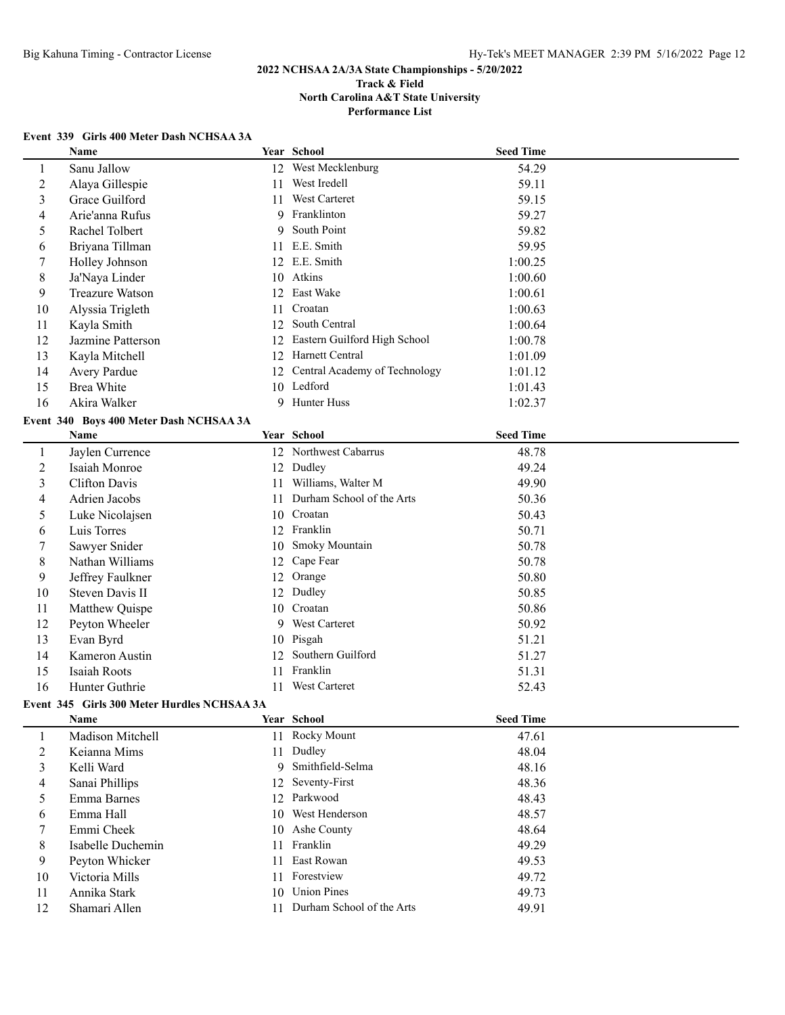### **Event 339 Girls 400 Meter Dash NCHSAA 3A**

|                | Event 339 Girls 400 Meter Dash NCHSAA 3A    |      |                               |                  |  |
|----------------|---------------------------------------------|------|-------------------------------|------------------|--|
|                | Name                                        |      | Year School                   | <b>Seed Time</b> |  |
| $\mathbf{1}$   | Sanu Jallow                                 |      | 12 West Mecklenburg           | 54.29            |  |
| $\overline{c}$ | Alaya Gillespie                             | 11   | West Iredell                  | 59.11            |  |
| 3              | Grace Guilford                              | 11   | West Carteret                 | 59.15            |  |
| 4              | Arie'anna Rufus                             |      | 9 Franklinton                 | 59.27            |  |
| 5              | Rachel Tolbert                              | 9    | South Point                   | 59.82            |  |
| 6              | Briyana Tillman                             |      | 11 E.E. Smith                 | 59.95            |  |
| 7              | Holley Johnson                              |      | 12 E.E. Smith                 | 1:00.25          |  |
| 8              | Ja'Naya Linder                              |      | 10 Atkins                     | 1:00.60          |  |
| 9              | Treazure Watson                             |      | 12 East Wake                  | 1:00.61          |  |
| 10             | Alyssia Trigleth                            | 11   | Croatan                       | 1:00.63          |  |
| 11             | Kayla Smith                                 | 12   | South Central                 | 1:00.64          |  |
| 12             | Jazmine Patterson                           | 12   | Eastern Guilford High School  | 1:00.78          |  |
| 13             | Kayla Mitchell                              | 12   | Harnett Central               | 1:01.09          |  |
| 14             | Avery Pardue                                | 12   | Central Academy of Technology | 1:01.12          |  |
| 15             | <b>Brea White</b>                           |      | 10 Ledford                    | 1:01.43          |  |
| 16             | Akira Walker                                |      | 9 Hunter Huss                 | 1:02.37          |  |
|                | Event 340 Boys 400 Meter Dash NCHSAA 3A     |      |                               |                  |  |
|                | Name                                        |      | Year School                   | <b>Seed Time</b> |  |
| $\mathbf{1}$   | Jaylen Currence                             |      | 12 Northwest Cabarrus         | 48.78            |  |
| $\overline{2}$ | Isaiah Monroe                               |      | 12 Dudley                     | 49.24            |  |
| 3              | <b>Clifton Davis</b>                        | 11 - | Williams, Walter M            | 49.90            |  |
| 4              | Adrien Jacobs                               |      | 11 Durham School of the Arts  | 50.36            |  |
| 5              | Luke Nicolajsen                             |      | 10 Croatan                    | 50.43            |  |
| 6              | Luis Torres                                 |      | 12 Franklin                   | 50.71            |  |
| 7              | Sawyer Snider                               | 10   | Smoky Mountain                | 50.78            |  |
| 8              | Nathan Williams                             | 12   | Cape Fear                     | 50.78            |  |
| 9              | Jeffrey Faulkner                            |      | 12 Orange                     | 50.80            |  |
| 10             | Steven Davis II                             |      | 12 Dudley                     | 50.85            |  |
| 11             | Matthew Quispe                              |      | 10 Croatan                    | 50.86            |  |
| 12             | Peyton Wheeler                              |      | 9 West Carteret               | 50.92            |  |
| 13             | Evan Byrd                                   |      | 10 Pisgah                     | 51.21            |  |
| 14             | Kameron Austin                              | 12   | Southern Guilford             | 51.27            |  |
| 15             | Isaiah Roots                                | 11   | Franklin                      | 51.31            |  |
| 16             | Hunter Guthrie                              | 11   | West Carteret                 | 52.43            |  |
|                |                                             |      |                               |                  |  |
|                | Event 345 Girls 300 Meter Hurdles NCHSAA 3A |      | Year School                   |                  |  |
|                | Name                                        |      |                               | <b>Seed Time</b> |  |
| $\mathbf{1}$   | Madison Mitchell                            |      | 11 Rocky Mount                | 47.61            |  |
| $\overline{2}$ | Keianna Mims                                |      | 11 Dudley                     | 48.04            |  |
| 3              | Kelli Ward                                  | 9    | Smithfield-Selma              | 48.16            |  |
| 4              | Sanai Phillips                              | 12   | Seventy-First                 | 48.36            |  |
| 5              | Emma Barnes                                 |      | 12 Parkwood                   | 48.43            |  |
| 6              | Emma Hall                                   | 10   | West Henderson                | 48.57            |  |
| 7              | Emmi Cheek                                  |      | 10 Ashe County                | 48.64            |  |
| 8              | Isabelle Duchemin                           | 11   | Franklin                      | 49.29            |  |
| 9              | Peyton Whicker                              | 11   | East Rowan                    | 49.53            |  |
| 10             | Victoria Mills                              | 11   | Forestview                    | 49.72            |  |
| 11             | Annika Stark                                | 10   | <b>Union Pines</b>            | 49.73            |  |
| 12             | Shamari Allen                               |      | 11 Durham School of the Arts  | 49.91            |  |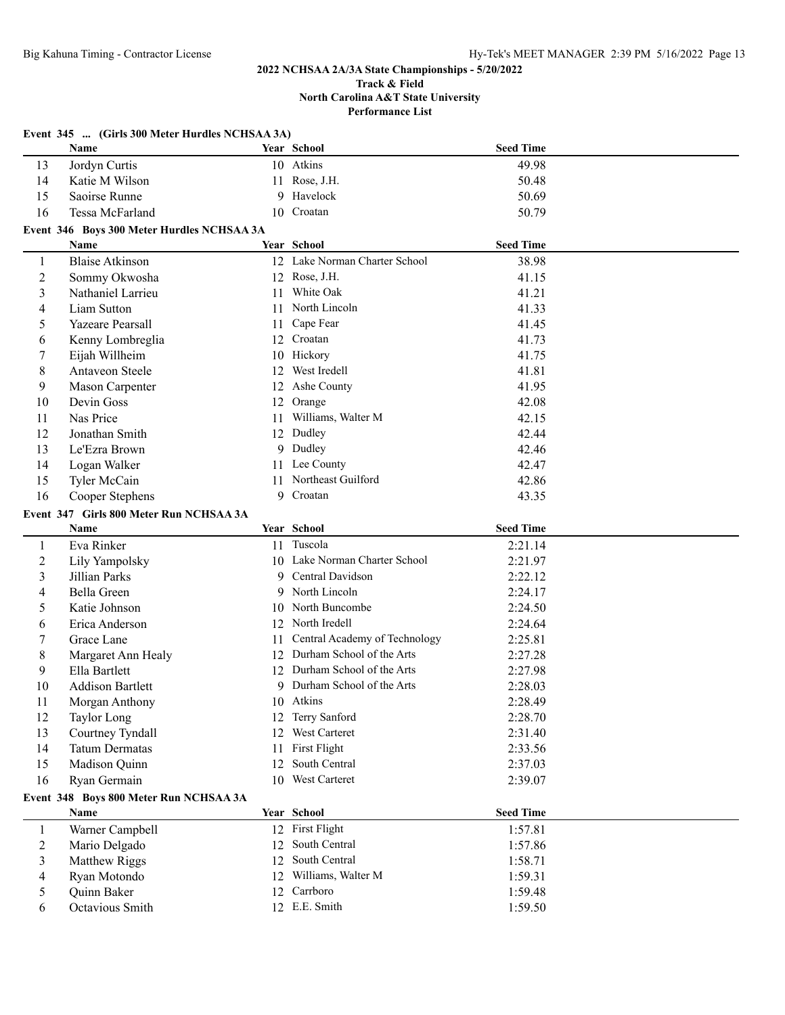### **Track & Field North Carolina A&T State University Performance List**

| <b>Seed Time</b><br>Name<br>Year School<br>10 Atkins<br>Jordyn Curtis<br>49.98<br>13<br>Rose, J.H.<br>Katie M Wilson<br>50.48<br>14<br>11<br>Havelock<br>15<br>Saoirse Runne<br>50.69<br>9<br>16<br>10 Croatan<br>50.79<br>Tessa McFarland<br>Event 346 Boys 300 Meter Hurdles NCHSAA 3A<br>Year School<br><b>Seed Time</b><br>Name<br><b>Blaise Atkinson</b><br>12 Lake Norman Charter School<br>38.98<br>1<br>$\overline{c}$<br>Sommy Okwosha<br>12 Rose, J.H.<br>41.15<br>3<br>Nathaniel Larrieu<br>White Oak<br>41.21<br>11<br>Liam Sutton<br>North Lincoln<br>41.33<br>4<br>11<br>Yazeare Pearsall<br>Cape Fear<br>41.45<br>5<br>11<br>12 Croatan<br>41.73<br>Kenny Lombreglia<br>6<br>10 Hickory<br>41.75<br>7<br>Eijah Willheim<br>12 West Iredell<br>8<br>41.81<br><b>Antaveon Steele</b><br>Ashe County<br>41.95<br>9<br>Mason Carpenter<br>12<br>12 Orange<br>42.08<br>10<br>Devin Goss<br>11 Williams, Walter M<br>Nas Price<br>42.15<br>11<br>12<br>12 Dudley<br>42.44<br>Jonathan Smith<br>9 Dudley<br>Le'Ezra Brown<br>42.46<br>13<br>11 Lee County<br>42.47<br>14<br>Logan Walker<br>Northeast Guilford<br>Tyler McCain<br>42.86<br>15<br>11<br>16<br>Croatan<br>Cooper Stephens<br>9<br>43.35<br>Event 347 Girls 800 Meter Run NCHSAA 3A<br>Year School<br><b>Seed Time</b><br>Name<br>$\mathbf{1}$<br>Eva Rinker<br>11 Tuscola<br>2:21.14<br>10 Lake Norman Charter School<br>$\overline{c}$<br>2:21.97<br>Lily Yampolsky<br>9 Central Davidson<br>3<br>Jillian Parks<br>2:22.12<br>9 North Lincoln<br>Bella Green<br>4<br>2:24.17<br>North Buncombe<br>5<br>Katie Johnson<br>2:24.50<br>10<br>12 North Iredell<br>Erica Anderson<br>2:24.64<br>6<br>Central Academy of Technology<br>7<br>Grace Lane<br>2:25.81<br>11<br>Durham School of the Arts<br>2:27.28<br>8<br>Margaret Ann Healy<br>12<br>Durham School of the Arts<br>9<br>Ella Bartlett<br>2:27.98<br>12.<br>9 Durham School of the Arts<br>2:28.03<br>10<br><b>Addison Bartlett</b><br>10 Atkins<br>2:28.49<br>11<br>Morgan Anthony<br>12 Terry Sanford<br>12<br><b>Taylor Long</b><br>2:28.70<br>12 West Carteret<br>13<br>Courtney Tyndall<br>2:31.40<br>11 First Flight<br>14<br><b>Tatum Dermatas</b><br>2:33.56<br>12 South Central<br>15<br>Madison Quinn<br>2:37.03<br>16<br>Ryan Germain<br>10 West Carteret<br>2:39.07<br>Event 348 Boys 800 Meter Run NCHSAA 3A<br>Year School<br><b>Seed Time</b><br>Name<br>12 First Flight<br>Warner Campbell<br>1:57.81<br>$\mathbf{1}$<br>12 South Central<br>$\overline{c}$<br>Mario Delgado<br>1:57.86<br>South Central<br>3<br>Matthew Riggs<br>1:58.71<br>12<br>12 Williams, Walter M<br>Ryan Motondo<br>4<br>1:59.31<br>Quinn Baker<br>12 Carrboro<br>1:59.48<br>5<br>12 E.E. Smith<br>Octavious Smith<br>6<br>1:59.50 | Event 345  (Girls 300 Meter Hurdles NCHSAA 3A) |  |  |  |  |  |  |
|---------------------------------------------------------------------------------------------------------------------------------------------------------------------------------------------------------------------------------------------------------------------------------------------------------------------------------------------------------------------------------------------------------------------------------------------------------------------------------------------------------------------------------------------------------------------------------------------------------------------------------------------------------------------------------------------------------------------------------------------------------------------------------------------------------------------------------------------------------------------------------------------------------------------------------------------------------------------------------------------------------------------------------------------------------------------------------------------------------------------------------------------------------------------------------------------------------------------------------------------------------------------------------------------------------------------------------------------------------------------------------------------------------------------------------------------------------------------------------------------------------------------------------------------------------------------------------------------------------------------------------------------------------------------------------------------------------------------------------------------------------------------------------------------------------------------------------------------------------------------------------------------------------------------------------------------------------------------------------------------------------------------------------------------------------------------------------------------------------------------------------------------------------------------------------------------------------------------------------------------------------------------------------------------------------------------------------------------------------------------------------------------------------------------------------------------------------------------------------------------------------------------------------------------------------------------------------------------------------------------------------------------------------------------------------------------------------------------------------------------------------|------------------------------------------------|--|--|--|--|--|--|
|                                                                                                                                                                                                                                                                                                                                                                                                                                                                                                                                                                                                                                                                                                                                                                                                                                                                                                                                                                                                                                                                                                                                                                                                                                                                                                                                                                                                                                                                                                                                                                                                                                                                                                                                                                                                                                                                                                                                                                                                                                                                                                                                                                                                                                                                                                                                                                                                                                                                                                                                                                                                                                                                                                                                                         |                                                |  |  |  |  |  |  |
|                                                                                                                                                                                                                                                                                                                                                                                                                                                                                                                                                                                                                                                                                                                                                                                                                                                                                                                                                                                                                                                                                                                                                                                                                                                                                                                                                                                                                                                                                                                                                                                                                                                                                                                                                                                                                                                                                                                                                                                                                                                                                                                                                                                                                                                                                                                                                                                                                                                                                                                                                                                                                                                                                                                                                         |                                                |  |  |  |  |  |  |
|                                                                                                                                                                                                                                                                                                                                                                                                                                                                                                                                                                                                                                                                                                                                                                                                                                                                                                                                                                                                                                                                                                                                                                                                                                                                                                                                                                                                                                                                                                                                                                                                                                                                                                                                                                                                                                                                                                                                                                                                                                                                                                                                                                                                                                                                                                                                                                                                                                                                                                                                                                                                                                                                                                                                                         |                                                |  |  |  |  |  |  |
|                                                                                                                                                                                                                                                                                                                                                                                                                                                                                                                                                                                                                                                                                                                                                                                                                                                                                                                                                                                                                                                                                                                                                                                                                                                                                                                                                                                                                                                                                                                                                                                                                                                                                                                                                                                                                                                                                                                                                                                                                                                                                                                                                                                                                                                                                                                                                                                                                                                                                                                                                                                                                                                                                                                                                         |                                                |  |  |  |  |  |  |
|                                                                                                                                                                                                                                                                                                                                                                                                                                                                                                                                                                                                                                                                                                                                                                                                                                                                                                                                                                                                                                                                                                                                                                                                                                                                                                                                                                                                                                                                                                                                                                                                                                                                                                                                                                                                                                                                                                                                                                                                                                                                                                                                                                                                                                                                                                                                                                                                                                                                                                                                                                                                                                                                                                                                                         |                                                |  |  |  |  |  |  |
|                                                                                                                                                                                                                                                                                                                                                                                                                                                                                                                                                                                                                                                                                                                                                                                                                                                                                                                                                                                                                                                                                                                                                                                                                                                                                                                                                                                                                                                                                                                                                                                                                                                                                                                                                                                                                                                                                                                                                                                                                                                                                                                                                                                                                                                                                                                                                                                                                                                                                                                                                                                                                                                                                                                                                         |                                                |  |  |  |  |  |  |
|                                                                                                                                                                                                                                                                                                                                                                                                                                                                                                                                                                                                                                                                                                                                                                                                                                                                                                                                                                                                                                                                                                                                                                                                                                                                                                                                                                                                                                                                                                                                                                                                                                                                                                                                                                                                                                                                                                                                                                                                                                                                                                                                                                                                                                                                                                                                                                                                                                                                                                                                                                                                                                                                                                                                                         |                                                |  |  |  |  |  |  |
|                                                                                                                                                                                                                                                                                                                                                                                                                                                                                                                                                                                                                                                                                                                                                                                                                                                                                                                                                                                                                                                                                                                                                                                                                                                                                                                                                                                                                                                                                                                                                                                                                                                                                                                                                                                                                                                                                                                                                                                                                                                                                                                                                                                                                                                                                                                                                                                                                                                                                                                                                                                                                                                                                                                                                         |                                                |  |  |  |  |  |  |
|                                                                                                                                                                                                                                                                                                                                                                                                                                                                                                                                                                                                                                                                                                                                                                                                                                                                                                                                                                                                                                                                                                                                                                                                                                                                                                                                                                                                                                                                                                                                                                                                                                                                                                                                                                                                                                                                                                                                                                                                                                                                                                                                                                                                                                                                                                                                                                                                                                                                                                                                                                                                                                                                                                                                                         |                                                |  |  |  |  |  |  |
|                                                                                                                                                                                                                                                                                                                                                                                                                                                                                                                                                                                                                                                                                                                                                                                                                                                                                                                                                                                                                                                                                                                                                                                                                                                                                                                                                                                                                                                                                                                                                                                                                                                                                                                                                                                                                                                                                                                                                                                                                                                                                                                                                                                                                                                                                                                                                                                                                                                                                                                                                                                                                                                                                                                                                         |                                                |  |  |  |  |  |  |
|                                                                                                                                                                                                                                                                                                                                                                                                                                                                                                                                                                                                                                                                                                                                                                                                                                                                                                                                                                                                                                                                                                                                                                                                                                                                                                                                                                                                                                                                                                                                                                                                                                                                                                                                                                                                                                                                                                                                                                                                                                                                                                                                                                                                                                                                                                                                                                                                                                                                                                                                                                                                                                                                                                                                                         |                                                |  |  |  |  |  |  |
|                                                                                                                                                                                                                                                                                                                                                                                                                                                                                                                                                                                                                                                                                                                                                                                                                                                                                                                                                                                                                                                                                                                                                                                                                                                                                                                                                                                                                                                                                                                                                                                                                                                                                                                                                                                                                                                                                                                                                                                                                                                                                                                                                                                                                                                                                                                                                                                                                                                                                                                                                                                                                                                                                                                                                         |                                                |  |  |  |  |  |  |
|                                                                                                                                                                                                                                                                                                                                                                                                                                                                                                                                                                                                                                                                                                                                                                                                                                                                                                                                                                                                                                                                                                                                                                                                                                                                                                                                                                                                                                                                                                                                                                                                                                                                                                                                                                                                                                                                                                                                                                                                                                                                                                                                                                                                                                                                                                                                                                                                                                                                                                                                                                                                                                                                                                                                                         |                                                |  |  |  |  |  |  |
|                                                                                                                                                                                                                                                                                                                                                                                                                                                                                                                                                                                                                                                                                                                                                                                                                                                                                                                                                                                                                                                                                                                                                                                                                                                                                                                                                                                                                                                                                                                                                                                                                                                                                                                                                                                                                                                                                                                                                                                                                                                                                                                                                                                                                                                                                                                                                                                                                                                                                                                                                                                                                                                                                                                                                         |                                                |  |  |  |  |  |  |
|                                                                                                                                                                                                                                                                                                                                                                                                                                                                                                                                                                                                                                                                                                                                                                                                                                                                                                                                                                                                                                                                                                                                                                                                                                                                                                                                                                                                                                                                                                                                                                                                                                                                                                                                                                                                                                                                                                                                                                                                                                                                                                                                                                                                                                                                                                                                                                                                                                                                                                                                                                                                                                                                                                                                                         |                                                |  |  |  |  |  |  |
|                                                                                                                                                                                                                                                                                                                                                                                                                                                                                                                                                                                                                                                                                                                                                                                                                                                                                                                                                                                                                                                                                                                                                                                                                                                                                                                                                                                                                                                                                                                                                                                                                                                                                                                                                                                                                                                                                                                                                                                                                                                                                                                                                                                                                                                                                                                                                                                                                                                                                                                                                                                                                                                                                                                                                         |                                                |  |  |  |  |  |  |
|                                                                                                                                                                                                                                                                                                                                                                                                                                                                                                                                                                                                                                                                                                                                                                                                                                                                                                                                                                                                                                                                                                                                                                                                                                                                                                                                                                                                                                                                                                                                                                                                                                                                                                                                                                                                                                                                                                                                                                                                                                                                                                                                                                                                                                                                                                                                                                                                                                                                                                                                                                                                                                                                                                                                                         |                                                |  |  |  |  |  |  |
|                                                                                                                                                                                                                                                                                                                                                                                                                                                                                                                                                                                                                                                                                                                                                                                                                                                                                                                                                                                                                                                                                                                                                                                                                                                                                                                                                                                                                                                                                                                                                                                                                                                                                                                                                                                                                                                                                                                                                                                                                                                                                                                                                                                                                                                                                                                                                                                                                                                                                                                                                                                                                                                                                                                                                         |                                                |  |  |  |  |  |  |
|                                                                                                                                                                                                                                                                                                                                                                                                                                                                                                                                                                                                                                                                                                                                                                                                                                                                                                                                                                                                                                                                                                                                                                                                                                                                                                                                                                                                                                                                                                                                                                                                                                                                                                                                                                                                                                                                                                                                                                                                                                                                                                                                                                                                                                                                                                                                                                                                                                                                                                                                                                                                                                                                                                                                                         |                                                |  |  |  |  |  |  |
|                                                                                                                                                                                                                                                                                                                                                                                                                                                                                                                                                                                                                                                                                                                                                                                                                                                                                                                                                                                                                                                                                                                                                                                                                                                                                                                                                                                                                                                                                                                                                                                                                                                                                                                                                                                                                                                                                                                                                                                                                                                                                                                                                                                                                                                                                                                                                                                                                                                                                                                                                                                                                                                                                                                                                         |                                                |  |  |  |  |  |  |
|                                                                                                                                                                                                                                                                                                                                                                                                                                                                                                                                                                                                                                                                                                                                                                                                                                                                                                                                                                                                                                                                                                                                                                                                                                                                                                                                                                                                                                                                                                                                                                                                                                                                                                                                                                                                                                                                                                                                                                                                                                                                                                                                                                                                                                                                                                                                                                                                                                                                                                                                                                                                                                                                                                                                                         |                                                |  |  |  |  |  |  |
|                                                                                                                                                                                                                                                                                                                                                                                                                                                                                                                                                                                                                                                                                                                                                                                                                                                                                                                                                                                                                                                                                                                                                                                                                                                                                                                                                                                                                                                                                                                                                                                                                                                                                                                                                                                                                                                                                                                                                                                                                                                                                                                                                                                                                                                                                                                                                                                                                                                                                                                                                                                                                                                                                                                                                         |                                                |  |  |  |  |  |  |
|                                                                                                                                                                                                                                                                                                                                                                                                                                                                                                                                                                                                                                                                                                                                                                                                                                                                                                                                                                                                                                                                                                                                                                                                                                                                                                                                                                                                                                                                                                                                                                                                                                                                                                                                                                                                                                                                                                                                                                                                                                                                                                                                                                                                                                                                                                                                                                                                                                                                                                                                                                                                                                                                                                                                                         |                                                |  |  |  |  |  |  |
|                                                                                                                                                                                                                                                                                                                                                                                                                                                                                                                                                                                                                                                                                                                                                                                                                                                                                                                                                                                                                                                                                                                                                                                                                                                                                                                                                                                                                                                                                                                                                                                                                                                                                                                                                                                                                                                                                                                                                                                                                                                                                                                                                                                                                                                                                                                                                                                                                                                                                                                                                                                                                                                                                                                                                         |                                                |  |  |  |  |  |  |
|                                                                                                                                                                                                                                                                                                                                                                                                                                                                                                                                                                                                                                                                                                                                                                                                                                                                                                                                                                                                                                                                                                                                                                                                                                                                                                                                                                                                                                                                                                                                                                                                                                                                                                                                                                                                                                                                                                                                                                                                                                                                                                                                                                                                                                                                                                                                                                                                                                                                                                                                                                                                                                                                                                                                                         |                                                |  |  |  |  |  |  |
|                                                                                                                                                                                                                                                                                                                                                                                                                                                                                                                                                                                                                                                                                                                                                                                                                                                                                                                                                                                                                                                                                                                                                                                                                                                                                                                                                                                                                                                                                                                                                                                                                                                                                                                                                                                                                                                                                                                                                                                                                                                                                                                                                                                                                                                                                                                                                                                                                                                                                                                                                                                                                                                                                                                                                         |                                                |  |  |  |  |  |  |
|                                                                                                                                                                                                                                                                                                                                                                                                                                                                                                                                                                                                                                                                                                                                                                                                                                                                                                                                                                                                                                                                                                                                                                                                                                                                                                                                                                                                                                                                                                                                                                                                                                                                                                                                                                                                                                                                                                                                                                                                                                                                                                                                                                                                                                                                                                                                                                                                                                                                                                                                                                                                                                                                                                                                                         |                                                |  |  |  |  |  |  |
|                                                                                                                                                                                                                                                                                                                                                                                                                                                                                                                                                                                                                                                                                                                                                                                                                                                                                                                                                                                                                                                                                                                                                                                                                                                                                                                                                                                                                                                                                                                                                                                                                                                                                                                                                                                                                                                                                                                                                                                                                                                                                                                                                                                                                                                                                                                                                                                                                                                                                                                                                                                                                                                                                                                                                         |                                                |  |  |  |  |  |  |
|                                                                                                                                                                                                                                                                                                                                                                                                                                                                                                                                                                                                                                                                                                                                                                                                                                                                                                                                                                                                                                                                                                                                                                                                                                                                                                                                                                                                                                                                                                                                                                                                                                                                                                                                                                                                                                                                                                                                                                                                                                                                                                                                                                                                                                                                                                                                                                                                                                                                                                                                                                                                                                                                                                                                                         |                                                |  |  |  |  |  |  |
|                                                                                                                                                                                                                                                                                                                                                                                                                                                                                                                                                                                                                                                                                                                                                                                                                                                                                                                                                                                                                                                                                                                                                                                                                                                                                                                                                                                                                                                                                                                                                                                                                                                                                                                                                                                                                                                                                                                                                                                                                                                                                                                                                                                                                                                                                                                                                                                                                                                                                                                                                                                                                                                                                                                                                         |                                                |  |  |  |  |  |  |
|                                                                                                                                                                                                                                                                                                                                                                                                                                                                                                                                                                                                                                                                                                                                                                                                                                                                                                                                                                                                                                                                                                                                                                                                                                                                                                                                                                                                                                                                                                                                                                                                                                                                                                                                                                                                                                                                                                                                                                                                                                                                                                                                                                                                                                                                                                                                                                                                                                                                                                                                                                                                                                                                                                                                                         |                                                |  |  |  |  |  |  |
|                                                                                                                                                                                                                                                                                                                                                                                                                                                                                                                                                                                                                                                                                                                                                                                                                                                                                                                                                                                                                                                                                                                                                                                                                                                                                                                                                                                                                                                                                                                                                                                                                                                                                                                                                                                                                                                                                                                                                                                                                                                                                                                                                                                                                                                                                                                                                                                                                                                                                                                                                                                                                                                                                                                                                         |                                                |  |  |  |  |  |  |
|                                                                                                                                                                                                                                                                                                                                                                                                                                                                                                                                                                                                                                                                                                                                                                                                                                                                                                                                                                                                                                                                                                                                                                                                                                                                                                                                                                                                                                                                                                                                                                                                                                                                                                                                                                                                                                                                                                                                                                                                                                                                                                                                                                                                                                                                                                                                                                                                                                                                                                                                                                                                                                                                                                                                                         |                                                |  |  |  |  |  |  |
|                                                                                                                                                                                                                                                                                                                                                                                                                                                                                                                                                                                                                                                                                                                                                                                                                                                                                                                                                                                                                                                                                                                                                                                                                                                                                                                                                                                                                                                                                                                                                                                                                                                                                                                                                                                                                                                                                                                                                                                                                                                                                                                                                                                                                                                                                                                                                                                                                                                                                                                                                                                                                                                                                                                                                         |                                                |  |  |  |  |  |  |
|                                                                                                                                                                                                                                                                                                                                                                                                                                                                                                                                                                                                                                                                                                                                                                                                                                                                                                                                                                                                                                                                                                                                                                                                                                                                                                                                                                                                                                                                                                                                                                                                                                                                                                                                                                                                                                                                                                                                                                                                                                                                                                                                                                                                                                                                                                                                                                                                                                                                                                                                                                                                                                                                                                                                                         |                                                |  |  |  |  |  |  |
|                                                                                                                                                                                                                                                                                                                                                                                                                                                                                                                                                                                                                                                                                                                                                                                                                                                                                                                                                                                                                                                                                                                                                                                                                                                                                                                                                                                                                                                                                                                                                                                                                                                                                                                                                                                                                                                                                                                                                                                                                                                                                                                                                                                                                                                                                                                                                                                                                                                                                                                                                                                                                                                                                                                                                         |                                                |  |  |  |  |  |  |
|                                                                                                                                                                                                                                                                                                                                                                                                                                                                                                                                                                                                                                                                                                                                                                                                                                                                                                                                                                                                                                                                                                                                                                                                                                                                                                                                                                                                                                                                                                                                                                                                                                                                                                                                                                                                                                                                                                                                                                                                                                                                                                                                                                                                                                                                                                                                                                                                                                                                                                                                                                                                                                                                                                                                                         |                                                |  |  |  |  |  |  |
|                                                                                                                                                                                                                                                                                                                                                                                                                                                                                                                                                                                                                                                                                                                                                                                                                                                                                                                                                                                                                                                                                                                                                                                                                                                                                                                                                                                                                                                                                                                                                                                                                                                                                                                                                                                                                                                                                                                                                                                                                                                                                                                                                                                                                                                                                                                                                                                                                                                                                                                                                                                                                                                                                                                                                         |                                                |  |  |  |  |  |  |
|                                                                                                                                                                                                                                                                                                                                                                                                                                                                                                                                                                                                                                                                                                                                                                                                                                                                                                                                                                                                                                                                                                                                                                                                                                                                                                                                                                                                                                                                                                                                                                                                                                                                                                                                                                                                                                                                                                                                                                                                                                                                                                                                                                                                                                                                                                                                                                                                                                                                                                                                                                                                                                                                                                                                                         |                                                |  |  |  |  |  |  |
|                                                                                                                                                                                                                                                                                                                                                                                                                                                                                                                                                                                                                                                                                                                                                                                                                                                                                                                                                                                                                                                                                                                                                                                                                                                                                                                                                                                                                                                                                                                                                                                                                                                                                                                                                                                                                                                                                                                                                                                                                                                                                                                                                                                                                                                                                                                                                                                                                                                                                                                                                                                                                                                                                                                                                         |                                                |  |  |  |  |  |  |
|                                                                                                                                                                                                                                                                                                                                                                                                                                                                                                                                                                                                                                                                                                                                                                                                                                                                                                                                                                                                                                                                                                                                                                                                                                                                                                                                                                                                                                                                                                                                                                                                                                                                                                                                                                                                                                                                                                                                                                                                                                                                                                                                                                                                                                                                                                                                                                                                                                                                                                                                                                                                                                                                                                                                                         |                                                |  |  |  |  |  |  |
|                                                                                                                                                                                                                                                                                                                                                                                                                                                                                                                                                                                                                                                                                                                                                                                                                                                                                                                                                                                                                                                                                                                                                                                                                                                                                                                                                                                                                                                                                                                                                                                                                                                                                                                                                                                                                                                                                                                                                                                                                                                                                                                                                                                                                                                                                                                                                                                                                                                                                                                                                                                                                                                                                                                                                         |                                                |  |  |  |  |  |  |
|                                                                                                                                                                                                                                                                                                                                                                                                                                                                                                                                                                                                                                                                                                                                                                                                                                                                                                                                                                                                                                                                                                                                                                                                                                                                                                                                                                                                                                                                                                                                                                                                                                                                                                                                                                                                                                                                                                                                                                                                                                                                                                                                                                                                                                                                                                                                                                                                                                                                                                                                                                                                                                                                                                                                                         |                                                |  |  |  |  |  |  |
|                                                                                                                                                                                                                                                                                                                                                                                                                                                                                                                                                                                                                                                                                                                                                                                                                                                                                                                                                                                                                                                                                                                                                                                                                                                                                                                                                                                                                                                                                                                                                                                                                                                                                                                                                                                                                                                                                                                                                                                                                                                                                                                                                                                                                                                                                                                                                                                                                                                                                                                                                                                                                                                                                                                                                         |                                                |  |  |  |  |  |  |
|                                                                                                                                                                                                                                                                                                                                                                                                                                                                                                                                                                                                                                                                                                                                                                                                                                                                                                                                                                                                                                                                                                                                                                                                                                                                                                                                                                                                                                                                                                                                                                                                                                                                                                                                                                                                                                                                                                                                                                                                                                                                                                                                                                                                                                                                                                                                                                                                                                                                                                                                                                                                                                                                                                                                                         |                                                |  |  |  |  |  |  |
|                                                                                                                                                                                                                                                                                                                                                                                                                                                                                                                                                                                                                                                                                                                                                                                                                                                                                                                                                                                                                                                                                                                                                                                                                                                                                                                                                                                                                                                                                                                                                                                                                                                                                                                                                                                                                                                                                                                                                                                                                                                                                                                                                                                                                                                                                                                                                                                                                                                                                                                                                                                                                                                                                                                                                         |                                                |  |  |  |  |  |  |
|                                                                                                                                                                                                                                                                                                                                                                                                                                                                                                                                                                                                                                                                                                                                                                                                                                                                                                                                                                                                                                                                                                                                                                                                                                                                                                                                                                                                                                                                                                                                                                                                                                                                                                                                                                                                                                                                                                                                                                                                                                                                                                                                                                                                                                                                                                                                                                                                                                                                                                                                                                                                                                                                                                                                                         |                                                |  |  |  |  |  |  |
|                                                                                                                                                                                                                                                                                                                                                                                                                                                                                                                                                                                                                                                                                                                                                                                                                                                                                                                                                                                                                                                                                                                                                                                                                                                                                                                                                                                                                                                                                                                                                                                                                                                                                                                                                                                                                                                                                                                                                                                                                                                                                                                                                                                                                                                                                                                                                                                                                                                                                                                                                                                                                                                                                                                                                         |                                                |  |  |  |  |  |  |
|                                                                                                                                                                                                                                                                                                                                                                                                                                                                                                                                                                                                                                                                                                                                                                                                                                                                                                                                                                                                                                                                                                                                                                                                                                                                                                                                                                                                                                                                                                                                                                                                                                                                                                                                                                                                                                                                                                                                                                                                                                                                                                                                                                                                                                                                                                                                                                                                                                                                                                                                                                                                                                                                                                                                                         |                                                |  |  |  |  |  |  |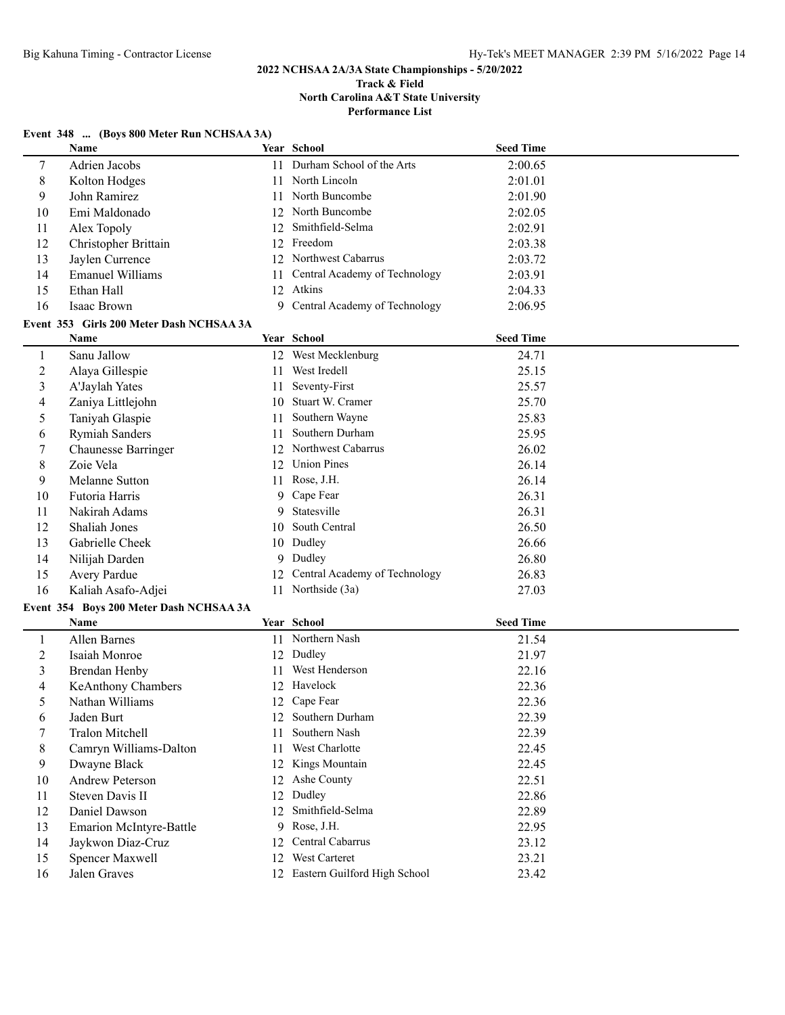### **Track & Field North Carolina A&T State University Performance List**

### **Event 348 ... (Boys 800 Meter Run NCHSAA 3A)**

|                | Name                                     |    | Year School                      | <b>Seed Time</b> |  |
|----------------|------------------------------------------|----|----------------------------------|------------------|--|
| 7              | Adrien Jacobs                            | 11 | Durham School of the Arts        | 2:00.65          |  |
| 8              | Kolton Hodges                            | 11 | North Lincoln                    | 2:01.01          |  |
| 9              | John Ramirez                             | 11 | North Buncombe                   | 2:01.90          |  |
| 10             | Emi Maldonado                            | 12 | North Buncombe                   | 2:02.05          |  |
| 11             | Alex Topoly                              | 12 | Smithfield-Selma                 | 2:02.91          |  |
| 12             | Christopher Brittain                     |    | 12 Freedom                       | 2:03.38          |  |
| 13             | Jaylen Currence                          |    | 12 Northwest Cabarrus            | 2:03.72          |  |
| 14             | <b>Emanuel Williams</b>                  | 11 | Central Academy of Technology    | 2:03.91          |  |
| 15             | Ethan Hall                               |    | 12 Atkins                        | 2:04.33          |  |
| 16             | Isaac Brown                              |    | 9 Central Academy of Technology  | 2:06.95          |  |
|                | Event 353 Girls 200 Meter Dash NCHSAA 3A |    |                                  |                  |  |
|                | Name                                     |    | Year School                      | <b>Seed Time</b> |  |
| 1              | Sanu Jallow                              |    | 12 West Mecklenburg              | 24.71            |  |
| $\overline{c}$ | Alaya Gillespie                          | 11 | West Iredell                     | 25.15            |  |
| $\mathfrak{Z}$ | A'Jaylah Yates                           | 11 | Seventy-First                    | 25.57            |  |
| 4              | Zaniya Littlejohn                        | 10 | Stuart W. Cramer                 | 25.70            |  |
| 5              | Taniyah Glaspie                          | 11 | Southern Wayne                   | 25.83            |  |
| 6              | <b>Rymiah Sanders</b>                    | 11 | Southern Durham                  | 25.95            |  |
| 7              | Chaunesse Barringer                      | 12 | Northwest Cabarrus               | 26.02            |  |
| 8              | Zoie Vela                                | 12 | <b>Union Pines</b>               | 26.14            |  |
| 9              | Melanne Sutton                           | 11 | Rose, J.H.                       | 26.14            |  |
| 10             | Futoria Harris                           | 9  | Cape Fear                        | 26.31            |  |
| 11             | Nakirah Adams                            | 9  | Statesville                      | 26.31            |  |
| 12             | <b>Shaliah Jones</b>                     | 10 | South Central                    | 26.50            |  |
| 13             | Gabrielle Cheek                          |    | 10 Dudley                        | 26.66            |  |
| 14             | Nilijah Darden                           | 9. | Dudley                           | 26.80            |  |
| 15             | Avery Pardue                             |    | 12 Central Academy of Technology | 26.83            |  |
| 16             | Kaliah Asafo-Adjei                       |    | 11 Northside (3a)                | 27.03            |  |
|                | Event 354 Boys 200 Meter Dash NCHSAA 3A  |    |                                  |                  |  |
|                | Name                                     |    | Year School                      | <b>Seed Time</b> |  |
| $\mathbf{1}$   | Allen Barnes                             |    | 11 Northern Nash                 | 21.54            |  |
| $\overline{2}$ | Isaiah Monroe                            |    | 12 Dudley                        | 21.97            |  |
| 3              | Brendan Henby                            | 11 | West Henderson                   | 22.16            |  |
| 4              | KeAnthony Chambers                       |    | 12 Havelock                      | 22.36            |  |
| 5              | Nathan Williams                          |    | 12 Cape Fear                     | 22.36            |  |
| 6              | Jaden Burt                               |    | 12 Southern Durham               | 22.39            |  |
| 7              | Tralon Mitchell                          | 11 | Southern Nash                    | 22.39            |  |
| 8              | Camryn Williams-Dalton                   | 11 | West Charlotte                   | 22.45            |  |
| 9              | Dwayne Black                             | 12 | Kings Mountain                   | 22.45            |  |
| 10             | <b>Andrew Peterson</b>                   |    | 12 Ashe County                   | 22.51            |  |
| 11             | Steven Davis II                          | 12 | Dudley                           | 22.86            |  |
| 12             | Daniel Dawson                            | 12 | Smithfield-Selma                 | 22.89            |  |
| 13             | <b>Emarion McIntyre-Battle</b>           | 9. | Rose, J.H.                       | 22.95            |  |
| 14             | Jaykwon Diaz-Cruz                        | 12 | Central Cabarrus                 | 23.12            |  |
| 15             | <b>Spencer Maxwell</b>                   | 12 | West Carteret                    | 23.21            |  |
| 16             | Jalen Graves                             |    | 12 Eastern Guilford High School  | 23.42            |  |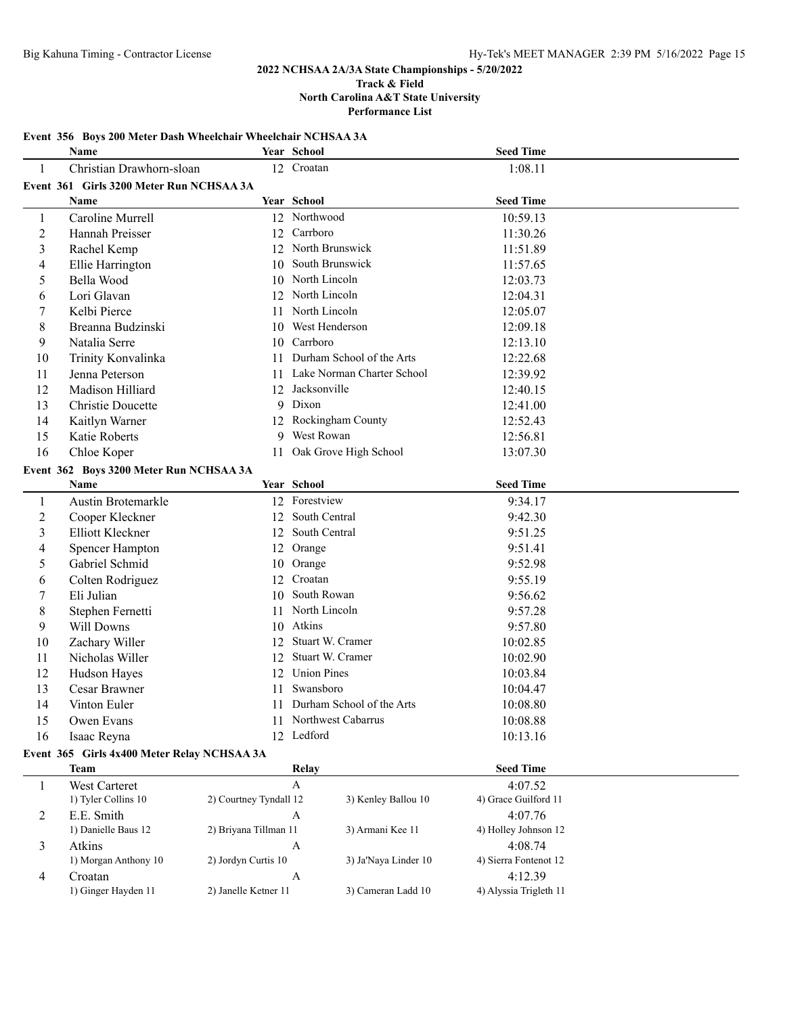### **Event 356 Boys 200 Meter Dash Wheelchair Wheelchair NCHSAA 3A**

|                | <b>Name</b>                                 |                        | Year School                   | <b>Seed Time</b>     |  |
|----------------|---------------------------------------------|------------------------|-------------------------------|----------------------|--|
| 1              | Christian Drawhorn-sloan                    |                        | 12 Croatan                    | 1:08.11              |  |
|                | Event 361 Girls 3200 Meter Run NCHSAA 3A    |                        |                               |                      |  |
|                | <b>Name</b>                                 |                        | Year School                   | <b>Seed Time</b>     |  |
| 1              | Caroline Murrell                            |                        | 12 Northwood                  | 10:59.13             |  |
| $\overline{c}$ | Hannah Preisser                             | 12                     | Carrboro                      | 11:30.26             |  |
| 3              | Rachel Kemp                                 |                        | 12 North Brunswick            | 11:51.89             |  |
| 4              | Ellie Harrington                            | 10                     | South Brunswick               | 11:57.65             |  |
| 5              | Bella Wood                                  |                        | 10 North Lincoln              | 12:03.73             |  |
| 6              | Lori Glavan                                 |                        | 12 North Lincoln              | 12:04.31             |  |
| 7              | Kelbi Pierce                                | 11                     | North Lincoln                 | 12:05.07             |  |
| 8              | Breanna Budzinski                           |                        | 10 West Henderson             | 12:09.18             |  |
| 9              | Natalia Serre                               |                        | 10 Carrboro                   | 12:13.10             |  |
| 10             | Trinity Konvalinka                          | 11                     | Durham School of the Arts     | 12:22.68             |  |
| 11             | Jenna Peterson                              |                        | 11 Lake Norman Charter School | 12:39.92             |  |
| 12             | Madison Hilliard                            |                        | 12 Jacksonville               | 12:40.15             |  |
| 13             | Christie Doucette                           |                        | 9 Dixon                       | 12:41.00             |  |
| 14             | Kaitlyn Warner                              |                        | 12 Rockingham County          | 12:52.43             |  |
| 15             | Katie Roberts                               | 9                      | West Rowan                    | 12:56.81             |  |
| 16             | Chloe Koper                                 | 11                     | Oak Grove High School         | 13:07.30             |  |
|                | Event 362 Boys 3200 Meter Run NCHSAA 3A     |                        |                               |                      |  |
|                | Name                                        |                        | Year School                   | <b>Seed Time</b>     |  |
| 1              | Austin Brotemarkle                          |                        | 12 Forestview                 | 9:34.17              |  |
| $\overline{2}$ | Cooper Kleckner                             | 12                     | South Central                 | 9:42.30              |  |
| 3              | Elliott Kleckner                            | 12                     | South Central                 | 9:51.25              |  |
| 4              | Spencer Hampton                             | 12                     | Orange                        | 9:51.41              |  |
| 5              | Gabriel Schmid                              | 10                     | Orange                        | 9:52.98              |  |
| 6              | Colten Rodriguez                            | 12                     | Croatan                       | 9:55.19              |  |
| 7              | Eli Julian                                  | 10                     | South Rowan                   | 9:56.62              |  |
| 8              | Stephen Fernetti                            | 11.                    | North Lincoln                 | 9:57.28              |  |
| 9              | Will Downs                                  |                        | 10 Atkins                     | 9:57.80              |  |
| 10             | Zachary Willer                              | 12                     | Stuart W. Cramer              | 10:02.85             |  |
| 11             | Nicholas Willer                             | 12                     | Stuart W. Cramer              | 10:02.90             |  |
| 12             | Hudson Hayes                                | 12                     | <b>Union Pines</b>            | 10:03.84             |  |
| 13             | Cesar Brawner                               | 11                     | Swansboro                     | 10:04.47             |  |
| 14             | Vinton Euler                                |                        | 11 Durham School of the Arts  | 10:08.80             |  |
| 15             | Owen Evans                                  |                        | 11 Northwest Cabarrus         | 10:08.88             |  |
| 16             | Isaac Reyna                                 |                        | 12 Ledford                    | 10:13.16             |  |
|                | Event 365 Girls 4x400 Meter Relay NCHSAA 3A |                        |                               |                      |  |
|                | <b>Team</b>                                 |                        | Relay                         | <b>Seed Time</b>     |  |
| 1              | West Carteret                               |                        | $\mathbf{A}$                  | 4:07.52              |  |
|                | 1) Tyler Collins 10                         | 2) Courtney Tyndall 12 | 3) Kenley Ballou 10           | 4) Grace Guilford 11 |  |
| 2              | E.E. Smith                                  |                        | $\boldsymbol{A}$              | 4:07.76              |  |

1) Danielle Baus 12 2) Briyana Tillman 11 3) Armani Kee 11 4) Holley Johnson 12

1) Morgan Anthony 10 2) Jordyn Curtis 10 3) Ja'Naya Linder 10 4) Sierra Fontenot 12

1) Ginger Hayden 11 2) Janelle Ketner 11 3) Cameran Ladd 10 4) Alyssia Trigleth 11

3 Atkins A 4:08.74

4 Croatan A 4:12.39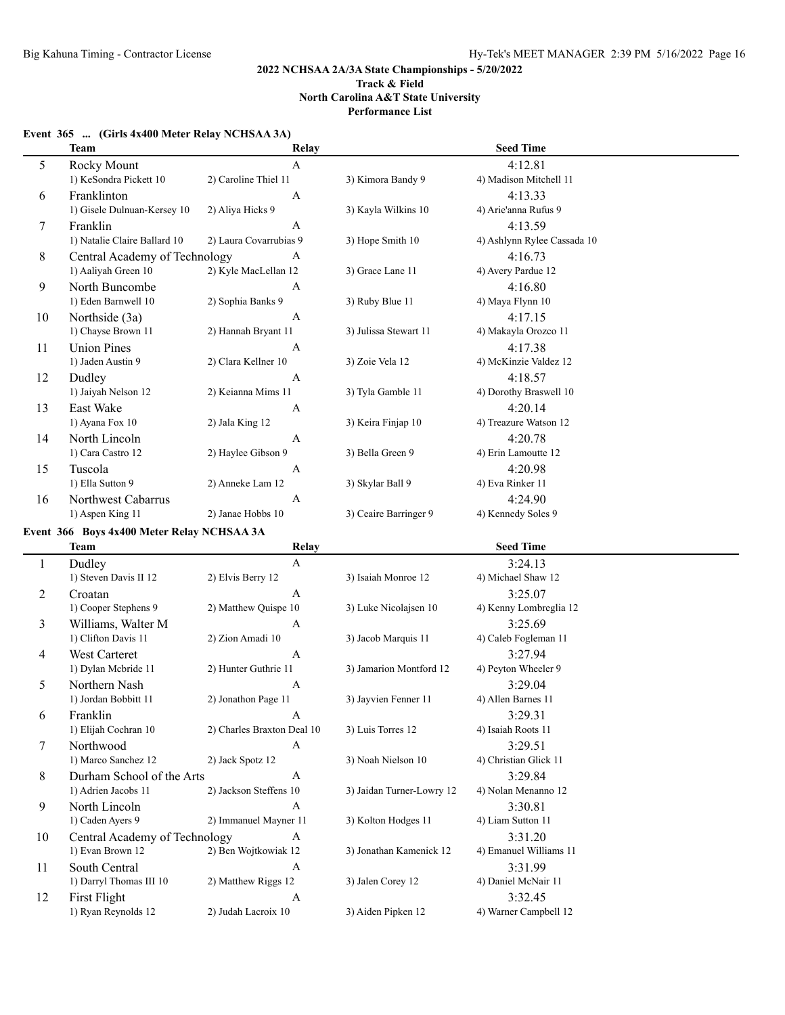**North Carolina A&T State University**

|  |  |  | Event 365  (Girls 4x400 Meter Relay NCHSAA 3A) |  |  |
|--|--|--|------------------------------------------------|--|--|
|--|--|--|------------------------------------------------|--|--|

|    | <b>Team</b>                                | Relay                      |                           | <b>Seed Time</b>                |  |
|----|--------------------------------------------|----------------------------|---------------------------|---------------------------------|--|
| 5  | Rocky Mount                                | A                          |                           | 4:12.81                         |  |
|    | 1) KeSondra Pickett 10                     | 2) Caroline Thiel 11       | 3) Kimora Bandy 9         | 4) Madison Mitchell 11          |  |
| 6  | Franklinton                                | A                          |                           | 4:13.33                         |  |
|    | 1) Gisele Dulnuan-Kersey 10                | 2) Aliya Hicks 9           | 3) Kayla Wilkins 10       | 4) Arie'anna Rufus 9            |  |
| 7  | Franklin                                   | A                          |                           | 4:13.59                         |  |
|    | 1) Natalie Claire Ballard 10               | 2) Laura Covarrubias 9     | 3) Hope Smith 10          | 4) Ashlynn Rylee Cassada 10     |  |
| 8  | Central Academy of Technology              | A                          |                           | 4:16.73                         |  |
|    | 1) Aaliyah Green 10                        | 2) Kyle MacLellan 12       | 3) Grace Lane 11          | 4) Avery Pardue 12              |  |
| 9  | North Buncombe                             | A                          |                           | 4:16.80                         |  |
|    | 1) Eden Barnwell 10                        | 2) Sophia Banks 9          | 3) Ruby Blue 11           | 4) Maya Flynn 10                |  |
|    |                                            |                            |                           |                                 |  |
| 10 | Northside (3a)<br>1) Chayse Brown 11       | A<br>2) Hannah Bryant 11   | 3) Julissa Stewart 11     | 4:17.15<br>4) Makayla Orozco 11 |  |
|    |                                            |                            |                           |                                 |  |
| 11 | <b>Union Pines</b>                         | A                          |                           | 4:17.38                         |  |
|    | 1) Jaden Austin 9                          | 2) Clara Kellner 10        | 3) Zoie Vela 12           | 4) McKinzie Valdez 12           |  |
| 12 | Dudley                                     | A                          |                           | 4:18.57                         |  |
|    | 1) Jaiyah Nelson 12                        | 2) Keianna Mims 11         | 3) Tyla Gamble 11         | 4) Dorothy Braswell 10          |  |
| 13 | East Wake                                  | A                          |                           | 4:20.14                         |  |
|    | 1) Ayana Fox 10                            | 2) Jala King 12            | 3) Keira Finjap 10        | 4) Treazure Watson 12           |  |
| 14 | North Lincoln                              | $\boldsymbol{A}$           |                           | 4:20.78                         |  |
|    | 1) Cara Castro 12                          | 2) Haylee Gibson 9         | 3) Bella Green 9          | 4) Erin Lamoutte 12             |  |
| 15 | Tuscola                                    | A                          |                           | 4:20.98                         |  |
|    | 1) Ella Sutton 9                           | 2) Anneke Lam 12           | 3) Skylar Ball 9          | 4) Eva Rinker 11                |  |
| 16 | Northwest Cabarrus                         | A                          |                           | 4:24.90                         |  |
|    | 1) Aspen King 11                           | 2) Janae Hobbs 10          | 3) Ceaire Barringer 9     | 4) Kennedy Soles 9              |  |
|    | Event 366 Boys 4x400 Meter Relay NCHSAA 3A |                            |                           |                                 |  |
|    |                                            |                            |                           |                                 |  |
|    | <b>Team</b>                                | Relay                      |                           | <b>Seed Time</b>                |  |
|    |                                            |                            |                           |                                 |  |
| 1  | Dudley                                     | $\mathbf{A}$               |                           | 3:24.13                         |  |
|    | 1) Steven Davis II 12                      | 2) Elvis Berry 12          | 3) Isaiah Monroe 12       | 4) Michael Shaw 12              |  |
| 2  | Croatan                                    | A                          |                           | 3:25.07                         |  |
|    | 1) Cooper Stephens 9                       | 2) Matthew Quispe 10       | 3) Luke Nicolajsen 10     | 4) Kenny Lombreglia 12          |  |
| 3  | Williams, Walter M                         | A                          |                           | 3:25.69                         |  |
|    | 1) Clifton Davis 11                        | 2) Zion Amadi 10           | 3) Jacob Marquis 11       | 4) Caleb Fogleman 11            |  |
| 4  | West Carteret                              | A                          |                           | 3:27.94                         |  |
|    | 1) Dylan Mcbride 11                        | 2) Hunter Guthrie 11       | 3) Jamarion Montford 12   | 4) Peyton Wheeler 9             |  |
| 5  | Northern Nash                              | A                          |                           | 3:29.04                         |  |
|    | 1) Jordan Bobbitt 11                       | 2) Jonathon Page 11        | 3) Jayvien Fenner 11      | 4) Allen Barnes 11              |  |
| 6  | Franklin                                   | A                          |                           | 3:29.31                         |  |
|    | 1) Elijah Cochran 10                       | 2) Charles Braxton Deal 10 | 3) Luis Torres 12         | 4) Isaiah Roots 11              |  |
| 7  | Northwood                                  | $\mathbf{A}$               |                           | 3:29.51                         |  |
|    | 1) Marco Sanchez 12                        | 2) Jack Spotz 12           | 3) Noah Nielson 10        | 4) Christian Glick 11           |  |
| 8  | Durham School of the Arts                  | A                          |                           | 3:29.84                         |  |
|    | 1) Adrien Jacobs 11                        | 2) Jackson Steffens 10     | 3) Jaidan Turner-Lowry 12 | 4) Nolan Menanno 12             |  |
| 9  | North Lincoln                              | $\mathbf{A}$               |                           | 3:30.81                         |  |
|    | 1) Caden Ayers 9                           | 2) Immanuel Mayner 11      | 3) Kolton Hodges 11       | 4) Liam Sutton 11               |  |
| 10 | Central Academy of Technology              | $\boldsymbol{A}$           |                           | 3:31.20                         |  |
|    | 1) Evan Brown 12                           | 2) Ben Wojtkowiak 12       | 3) Jonathan Kamenick 12   | 4) Emanuel Williams 11          |  |
| 11 | South Central                              | $\mathbf{A}$               |                           | 3:31.99                         |  |
|    | 1) Darryl Thomas III 10                    | 2) Matthew Riggs 12        | 3) Jalen Corey 12         | 4) Daniel McNair 11             |  |
| 12 | First Flight                               | $\mathbf{A}$               |                           | 3:32.45                         |  |